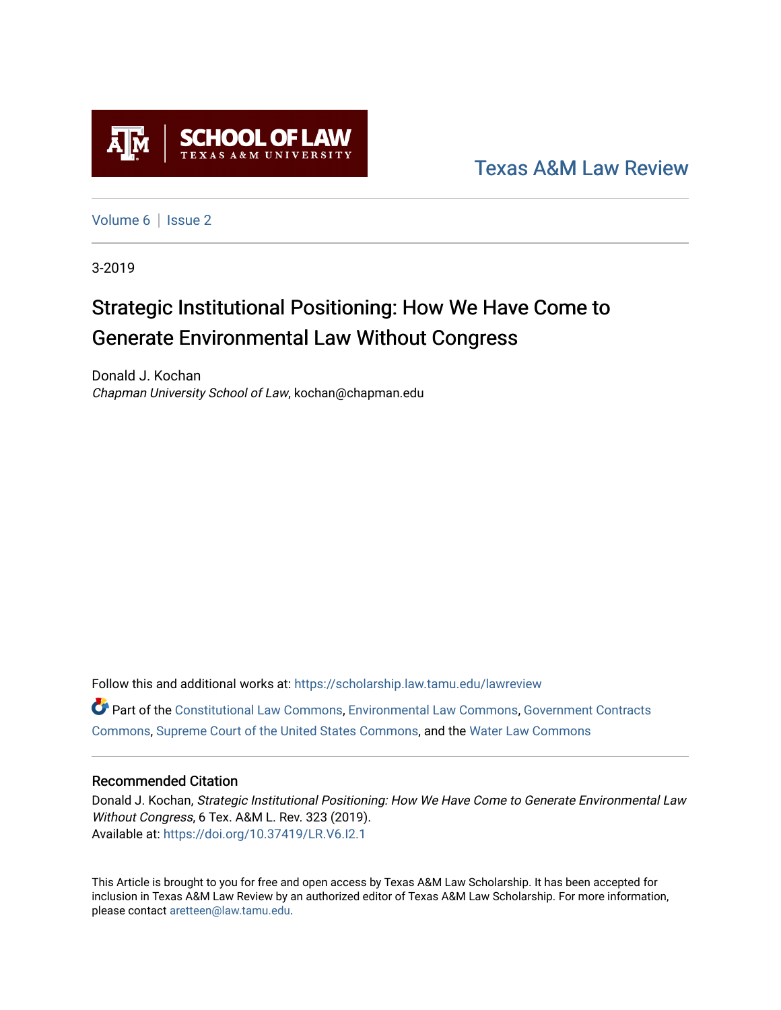

[Texas A&M Law Review](https://scholarship.law.tamu.edu/lawreview) 

[Volume 6](https://scholarship.law.tamu.edu/lawreview/vol6) | Issue 2

3-2019

# Strategic Institutional Positioning: How We Have Come to Generate Environmental Law Without Congress

Donald J. Kochan Chapman University School of Law, kochan@chapman.edu

Follow this and additional works at: [https://scholarship.law.tamu.edu/lawreview](https://scholarship.law.tamu.edu/lawreview?utm_source=scholarship.law.tamu.edu%2Flawreview%2Fvol6%2Fiss2%2F1&utm_medium=PDF&utm_campaign=PDFCoverPages) Part of the [Constitutional Law Commons,](http://network.bepress.com/hgg/discipline/589?utm_source=scholarship.law.tamu.edu%2Flawreview%2Fvol6%2Fiss2%2F1&utm_medium=PDF&utm_campaign=PDFCoverPages) [Environmental Law Commons](http://network.bepress.com/hgg/discipline/599?utm_source=scholarship.law.tamu.edu%2Flawreview%2Fvol6%2Fiss2%2F1&utm_medium=PDF&utm_campaign=PDFCoverPages), [Government Contracts](http://network.bepress.com/hgg/discipline/845?utm_source=scholarship.law.tamu.edu%2Flawreview%2Fvol6%2Fiss2%2F1&utm_medium=PDF&utm_campaign=PDFCoverPages)  [Commons](http://network.bepress.com/hgg/discipline/845?utm_source=scholarship.law.tamu.edu%2Flawreview%2Fvol6%2Fiss2%2F1&utm_medium=PDF&utm_campaign=PDFCoverPages), [Supreme Court of the United States Commons](http://network.bepress.com/hgg/discipline/1350?utm_source=scholarship.law.tamu.edu%2Flawreview%2Fvol6%2Fiss2%2F1&utm_medium=PDF&utm_campaign=PDFCoverPages), and the [Water Law Commons](http://network.bepress.com/hgg/discipline/887?utm_source=scholarship.law.tamu.edu%2Flawreview%2Fvol6%2Fiss2%2F1&utm_medium=PDF&utm_campaign=PDFCoverPages) 

### Recommended Citation

Donald J. Kochan, Strategic Institutional Positioning: How We Have Come to Generate Environmental Law Without Congress, 6 Tex. A&M L. Rev. 323 (2019). Available at:<https://doi.org/10.37419/LR.V6.I2.1>

This Article is brought to you for free and open access by Texas A&M Law Scholarship. It has been accepted for inclusion in Texas A&M Law Review by an authorized editor of Texas A&M Law Scholarship. For more information, please contact [aretteen@law.tamu.edu.](mailto:aretteen@law.tamu.edu)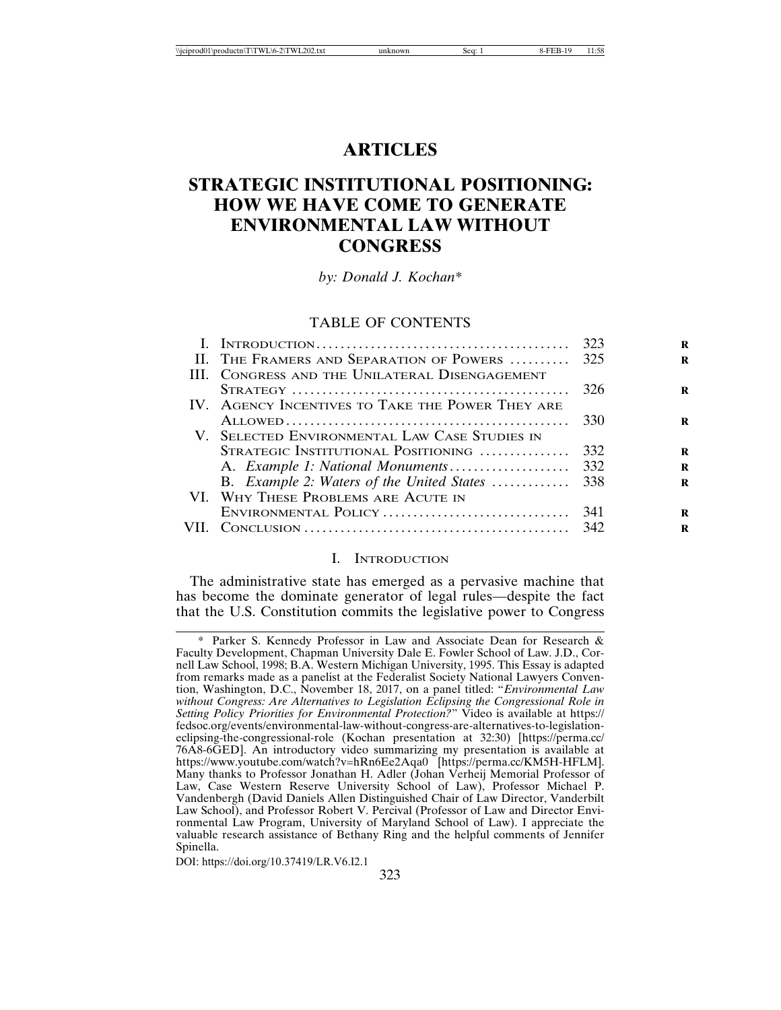## **ARTICLES**

# **STRATEGIC INSTITUTIONAL POSITIONING: HOW WE HAVE COME TO GENERATE ENVIRONMENTAL LAW WITHOUT CONGRESS**

*by: Donald J. Kochan\**

#### TABLE OF CONTENTS

| II. THE FRAMERS AND SEPARATION OF POWERS  325    |      |
|--------------------------------------------------|------|
| III. CONGRESS AND THE UNILATERAL DISENGAGEMENT   |      |
|                                                  | 326  |
| IV. AGENCY INCENTIVES TO TAKE THE POWER THEY ARE |      |
|                                                  | 330  |
| V. SELECTED ENVIRONMENTAL LAW CASE STUDIES IN    |      |
| STRATEGIC INSTITUTIONAL POSITIONING              | 332  |
|                                                  |      |
|                                                  |      |
| VI. WHY THESE PROBLEMS ARE ACUTE IN              |      |
| ENVIRONMENTAL POLICY                             | -341 |
|                                                  |      |
|                                                  |      |

#### I. INTRODUCTION

The administrative state has emerged as a pervasive machine that has become the dominate generator of legal rules—despite the fact that the U.S. Constitution commits the legislative power to Congress

<sup>\*</sup> Parker S. Kennedy Professor in Law and Associate Dean for Research & Faculty Development, Chapman University Dale E. Fowler School of Law. J.D., Cornell Law School, 1998; B.A. Western Michigan University, 1995. This Essay is adapted from remarks made as a panelist at the Federalist Society National Lawyers Convention, Washington, D.C., November 18, 2017, on a panel titled: "*Environmental Law without Congress: Are Alternatives to Legislation Eclipsing the Congressional Role in Setting Policy Priorities for Environmental Protection?*" Video is available at https:// fedsoc.org/events/environmental-law-without-congress-are-alternatives-to-legislationeclipsing-the-congressional-role (Kochan presentation at 32:30) [https://perma.cc/ 76A8-6GED]. An introductory video summarizing my presentation is available at https://www.youtube.com/watch?v=hRn6Ee2Aqa0 [https://perma.cc/KM5H-HFLM]. Many thanks to Professor Jonathan H. Adler (Johan Verheij Memorial Professor of Law, Case Western Reserve University School of Law), Professor Michael P. Vandenbergh (David Daniels Allen Distinguished Chair of Law Director, Vanderbilt Law School), and Professor Robert V. Percival (Professor of Law and Director Environmental Law Program, University of Maryland School of Law). I appreciate the valuable research assistance of Bethany Ring and the helpful comments of Jennifer Spinella.

DOI: https://doi.org/10.37419/LR.V6.I2.1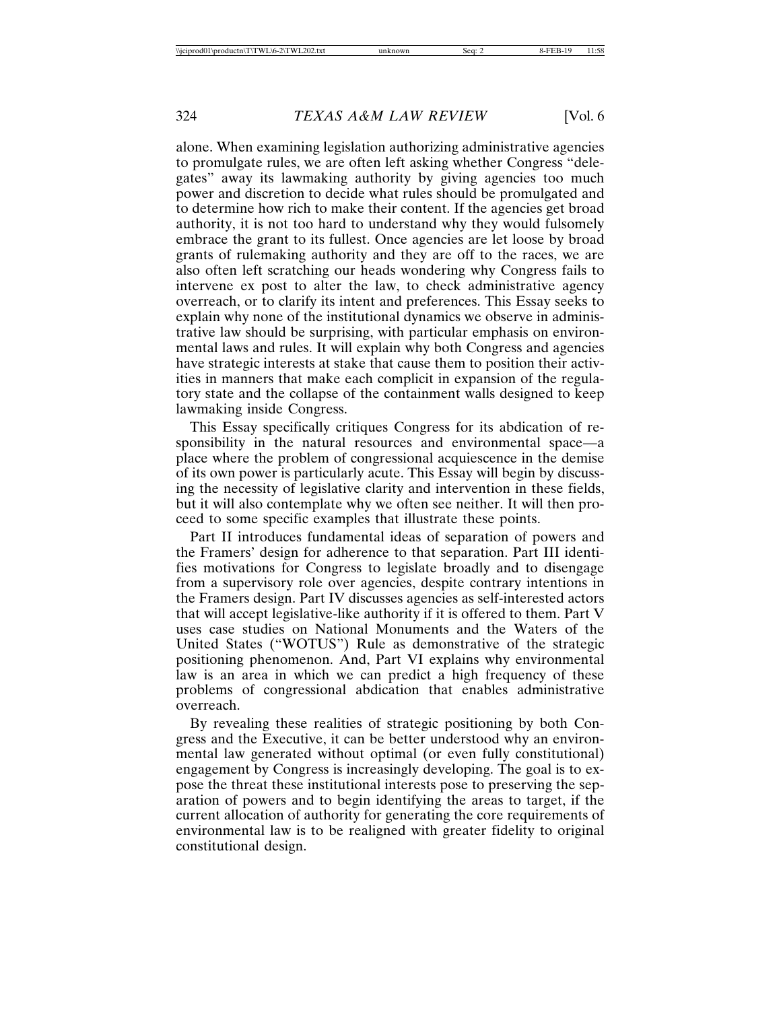alone. When examining legislation authorizing administrative agencies to promulgate rules, we are often left asking whether Congress "delegates" away its lawmaking authority by giving agencies too much power and discretion to decide what rules should be promulgated and to determine how rich to make their content. If the agencies get broad authority, it is not too hard to understand why they would fulsomely embrace the grant to its fullest. Once agencies are let loose by broad grants of rulemaking authority and they are off to the races, we are also often left scratching our heads wondering why Congress fails to intervene ex post to alter the law, to check administrative agency overreach, or to clarify its intent and preferences. This Essay seeks to explain why none of the institutional dynamics we observe in administrative law should be surprising, with particular emphasis on environmental laws and rules. It will explain why both Congress and agencies have strategic interests at stake that cause them to position their activities in manners that make each complicit in expansion of the regulatory state and the collapse of the containment walls designed to keep lawmaking inside Congress.

This Essay specifically critiques Congress for its abdication of responsibility in the natural resources and environmental space—a place where the problem of congressional acquiescence in the demise of its own power is particularly acute. This Essay will begin by discussing the necessity of legislative clarity and intervention in these fields, but it will also contemplate why we often see neither. It will then proceed to some specific examples that illustrate these points.

Part II introduces fundamental ideas of separation of powers and the Framers' design for adherence to that separation. Part III identifies motivations for Congress to legislate broadly and to disengage from a supervisory role over agencies, despite contrary intentions in the Framers design. Part IV discusses agencies as self-interested actors that will accept legislative-like authority if it is offered to them. Part V uses case studies on National Monuments and the Waters of the United States ("WOTUS") Rule as demonstrative of the strategic positioning phenomenon. And, Part VI explains why environmental law is an area in which we can predict a high frequency of these problems of congressional abdication that enables administrative overreach.

By revealing these realities of strategic positioning by both Congress and the Executive, it can be better understood why an environmental law generated without optimal (or even fully constitutional) engagement by Congress is increasingly developing. The goal is to expose the threat these institutional interests pose to preserving the separation of powers and to begin identifying the areas to target, if the current allocation of authority for generating the core requirements of environmental law is to be realigned with greater fidelity to original constitutional design.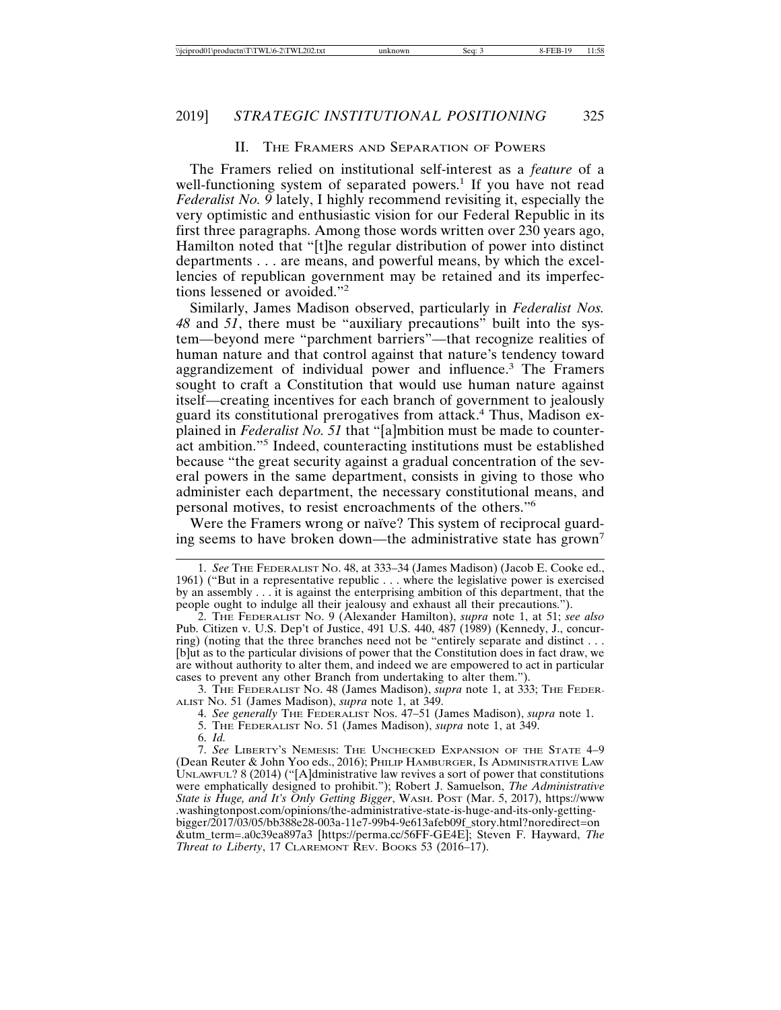#### II. THE FRAMERS AND SEPARATION OF POWERS

The Framers relied on institutional self-interest as a *feature* of a well-functioning system of separated powers.<sup>1</sup> If you have not read *Federalist No. 9* lately, I highly recommend revisiting it, especially the very optimistic and enthusiastic vision for our Federal Republic in its first three paragraphs. Among those words written over 230 years ago, Hamilton noted that "[t]he regular distribution of power into distinct departments . . . are means, and powerful means, by which the excellencies of republican government may be retained and its imperfections lessened or avoided."<sup>2</sup>

Similarly, James Madison observed, particularly in *Federalist Nos. 48* and *51*, there must be "auxiliary precautions" built into the system—beyond mere "parchment barriers"—that recognize realities of human nature and that control against that nature's tendency toward aggrandizement of individual power and influence.<sup>3</sup> The Framers sought to craft a Constitution that would use human nature against itself—creating incentives for each branch of government to jealously guard its constitutional prerogatives from attack.<sup>4</sup> Thus, Madison explained in *Federalist No. 51* that "[a]mbition must be made to counteract ambition."<sup>5</sup> Indeed, counteracting institutions must be established because "the great security against a gradual concentration of the several powers in the same department, consists in giving to those who administer each department, the necessary constitutional means, and personal motives, to resist encroachments of the others."<sup>6</sup>

Were the Framers wrong or naïve? This system of reciprocal guarding seems to have broken down—the administrative state has grown<sup>7</sup>

3. THE FEDERALIST NO. 48 (James Madison), *supra* note 1, at 333; THE FEDER-ALIST NO. 51 (James Madison), *supra* note 1, at 349.

4. *See generally* THE FEDERALIST NOS. 47–51 (James Madison), *supra* note 1.

5. THE FEDERALIST NO. 51 (James Madison), *supra* note 1, at 349.

<sup>1.</sup> *See* THE FEDERALIST NO. 48, at 333–34 (James Madison) (Jacob E. Cooke ed., 1961) ("But in a representative republic . . . where the legislative power is exercised by an assembly . . . it is against the enterprising ambition of this department, that the people ought to indulge all their jealousy and exhaust all their precautions.").

<sup>2.</sup> THE FEDERALIST NO. 9 (Alexander Hamilton), *supra* note 1, at 51; *see also* Pub. Citizen v. U.S. Dep't of Justice, 491 U.S. 440, 487 (1989) (Kennedy, J., concurring) (noting that the three branches need not be "entirely separate and distinct . . . [b]ut as to the particular divisions of power that the Constitution does in fact draw, we are without authority to alter them, and indeed we are empowered to act in particular cases to prevent any other Branch from undertaking to alter them.").

<sup>6.</sup> *Id.*

<sup>7.</sup> *See* LIBERTY'S NEMESIS: THE UNCHECKED EXPANSION OF THE STATE 4–9 (Dean Reuter & John Yoo eds., 2016); PHILIP HAMBURGER, IS ADMINISTRATIVE LAW UNLAWFUL? 8 (2014) ("[A]dministrative law revives a sort of power that constitutions were emphatically designed to prohibit."); Robert J. Samuelson, *The Administrative State is Huge, and It's Only Getting Bigger*, WASH. POST (Mar. 5, 2017), https://www .washingtonpost.com/opinions/the-administrative-state-is-huge-and-its-only-gettingbigger/2017/03/05/bb388e28-003a-11e7-99b4-9e613afeb09f\_story.html?noredirect=on &utm\_term=.a0c39ea897a3 [https://perma.cc/56FF-GE4E]; Steven F. Hayward, *The Threat to Liberty*, 17 CLAREMONT REV. BOOKS 53 (2016–17).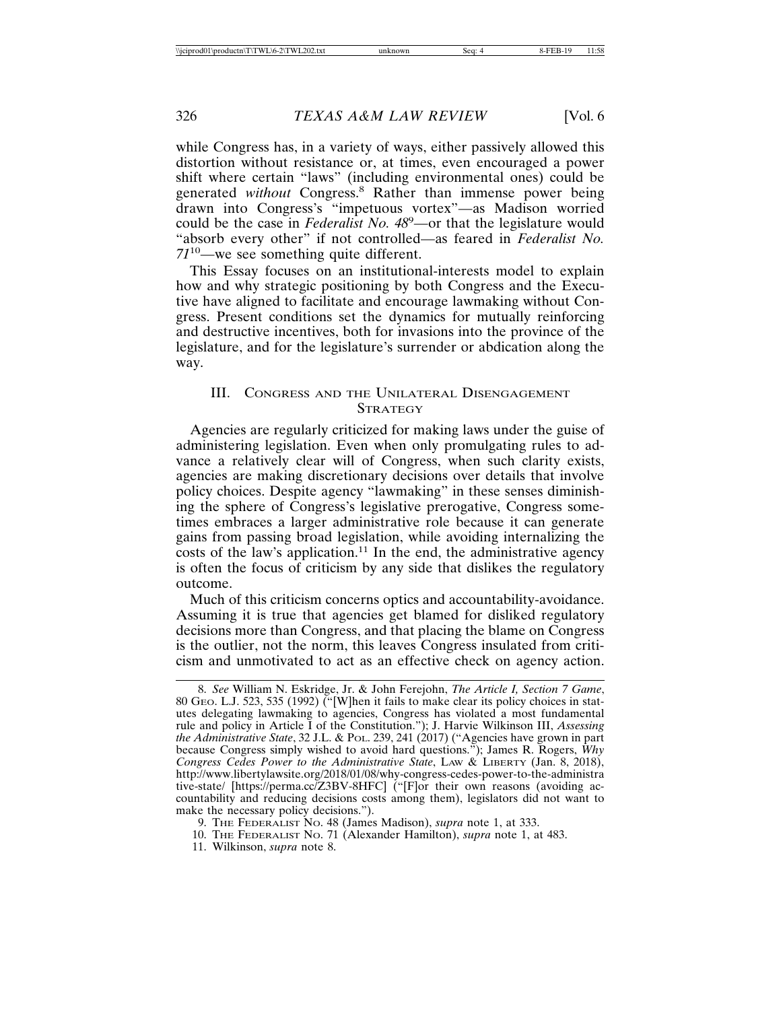while Congress has, in a variety of ways, either passively allowed this distortion without resistance or, at times, even encouraged a power shift where certain "laws" (including environmental ones) could be generated *without* Congress.<sup>8</sup> Rather than immense power being drawn into Congress's "impetuous vortex"—as Madison worried could be the case in *Federalist No. 48*<sup>9</sup> —or that the legislature would "absorb every other" if not controlled—as feared in *Federalist No. 71*10—we see something quite different.

This Essay focuses on an institutional-interests model to explain how and why strategic positioning by both Congress and the Executive have aligned to facilitate and encourage lawmaking without Congress. Present conditions set the dynamics for mutually reinforcing and destructive incentives, both for invasions into the province of the legislature, and for the legislature's surrender or abdication along the way.

#### III. CONGRESS AND THE UNILATERAL DISENGAGEMENT **STRATEGY**

Agencies are regularly criticized for making laws under the guise of administering legislation. Even when only promulgating rules to advance a relatively clear will of Congress, when such clarity exists, agencies are making discretionary decisions over details that involve policy choices. Despite agency "lawmaking" in these senses diminishing the sphere of Congress's legislative prerogative, Congress sometimes embraces a larger administrative role because it can generate gains from passing broad legislation, while avoiding internalizing the costs of the law's application.<sup>11</sup> In the end, the administrative agency is often the focus of criticism by any side that dislikes the regulatory outcome.

Much of this criticism concerns optics and accountability-avoidance. Assuming it is true that agencies get blamed for disliked regulatory decisions more than Congress, and that placing the blame on Congress is the outlier, not the norm, this leaves Congress insulated from criticism and unmotivated to act as an effective check on agency action.

- 10. THE FEDERALIST NO. 71 (Alexander Hamilton), *supra* note 1, at 483.
- 11. Wilkinson, *supra* note 8.

<sup>8.</sup> *See* William N. Eskridge, Jr. & John Ferejohn, *The Article I, Section 7 Game*, 80 GEO. L.J. 523, 535 (1992) ("[W]hen it fails to make clear its policy choices in statutes delegating lawmaking to agencies, Congress has violated a most fundamental rule and policy in Article I of the Constitution."); J. Harvie Wilkinson III, *Assessing the Administrative State*, 32 J.L. & POL. 239, 241 (2017) ("Agencies have grown in part because Congress simply wished to avoid hard questions."); James R. Rogers, *Why Congress Cedes Power to the Administrative State*, LAW & LIBERTY (Jan. 8, 2018), http://www.libertylawsite.org/2018/01/08/why-congress-cedes-power-to-the-administra tive-state/ [https://perma.cc/Z3BV-8HFC] ("[F]or their own reasons (avoiding accountability and reducing decisions costs among them), legislators did not want to make the necessary policy decisions.").

<sup>9.</sup> THE FEDERALIST NO. 48 (James Madison), *supra* note 1, at 333.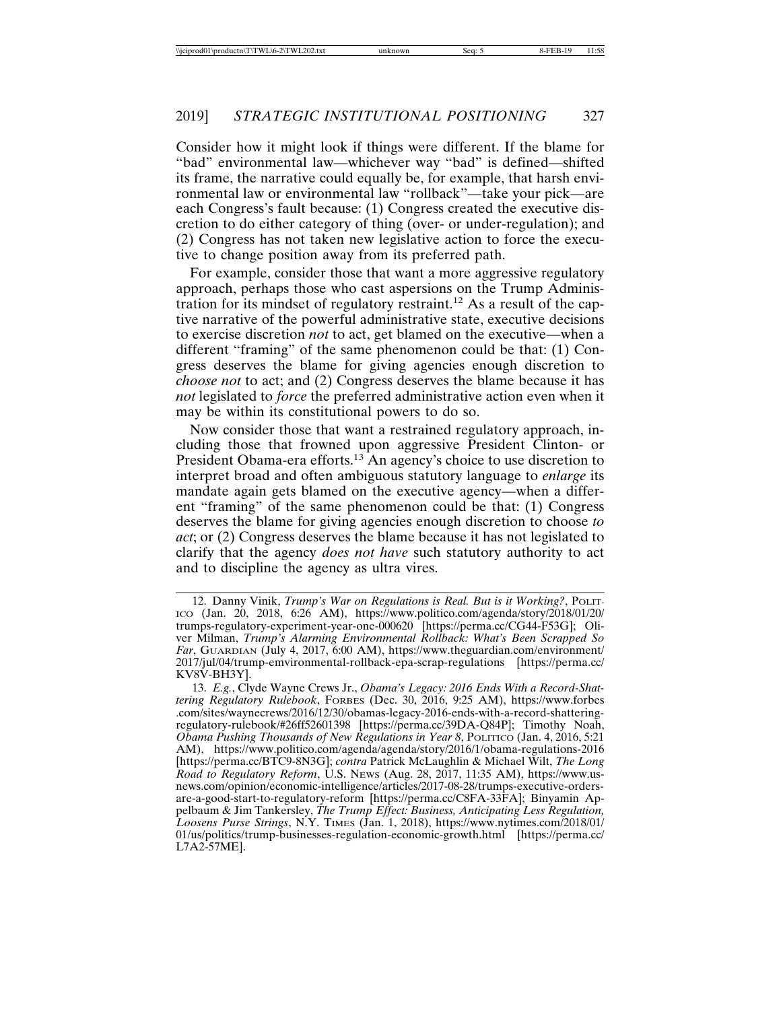Consider how it might look if things were different. If the blame for "bad" environmental law—whichever way "bad" is defined—shifted its frame, the narrative could equally be, for example, that harsh environmental law or environmental law "rollback"—take your pick—are each Congress's fault because: (1) Congress created the executive discretion to do either category of thing (over- or under-regulation); and (2) Congress has not taken new legislative action to force the executive to change position away from its preferred path.

For example, consider those that want a more aggressive regulatory approach, perhaps those who cast aspersions on the Trump Administration for its mindset of regulatory restraint.12 As a result of the captive narrative of the powerful administrative state, executive decisions to exercise discretion *not* to act, get blamed on the executive—when a different "framing" of the same phenomenon could be that: (1) Congress deserves the blame for giving agencies enough discretion to *choose not* to act; and (2) Congress deserves the blame because it has *not* legislated to *force* the preferred administrative action even when it may be within its constitutional powers to do so.

Now consider those that want a restrained regulatory approach, including those that frowned upon aggressive President Clinton- or President Obama-era efforts.<sup>13</sup> An agency's choice to use discretion to interpret broad and often ambiguous statutory language to *enlarge* its mandate again gets blamed on the executive agency—when a different "framing" of the same phenomenon could be that: (1) Congress deserves the blame for giving agencies enough discretion to choose *to act*; or (2) Congress deserves the blame because it has not legislated to clarify that the agency *does not have* such statutory authority to act and to discipline the agency as ultra vires.

<sup>12.</sup> Danny Vinik, *Trump's War on Regulations is Real. But is it Working?*, POLIT-ICO (Jan. 20, 2018, 6:26 AM), https://www.politico.com/agenda/story/2018/01/20/ trumps-regulatory-experiment-year-one-000620 [https://perma.cc/CG44-F53G]; Oliver Milman, *Trump's Alarming Environmental Rollback: What's Been Scrapped So Far*, GUARDIAN (July 4, 2017, 6:00 AM), https://www.theguardian.com/environment/ 2017/jul/04/trump-emvironmental-rollback-epa-scrap-regulations [https://perma.cc/ KV8V-BH3Y].

<sup>13.</sup> *E.g.*, Clyde Wayne Crews Jr., *Obama's Legacy: 2016 Ends With a Record-Shattering Regulatory Rulebook*, FORBES (Dec. 30, 2016, 9:25 AM), https://www.forbes .com/sites/waynecrews/2016/12/30/obamas-legacy-2016-ends-with-a-record-shatteringregulatory-rulebook/#26ff52601398 [https://perma.cc/39DA-Q84P]; Timothy Noah, *Obama Pushing Thousands of New Regulations in Year 8*, POLITICO (Jan. 4, 2016, 5:21 AM), https://www.politico.com/agenda/agenda/story/2016/1/obama-regulations-2016 [https://perma.cc/BTC9-8N3G]; *contra* Patrick McLaughlin & Michael Wilt, *The Long Road to Regulatory Reform*, U.S. NEWS (Aug. 28, 2017, 11:35 AM), https://www.usnews.com/opinion/economic-intelligence/articles/2017-08-28/trumps-executive-ordersare-a-good-start-to-regulatory-reform [https://perma.cc/C8FA-33FA]; Binyamin Appelbaum & Jim Tankersley, *The Trump Effect: Business, Anticipating Less Regulation, Loosens Purse Strings*, N.Y. TIMES (Jan. 1, 2018), https://www.nytimes.com/2018/01/ 01/us/politics/trump-businesses-regulation-economic-growth.html [https://perma.cc/ L7A2-57ME].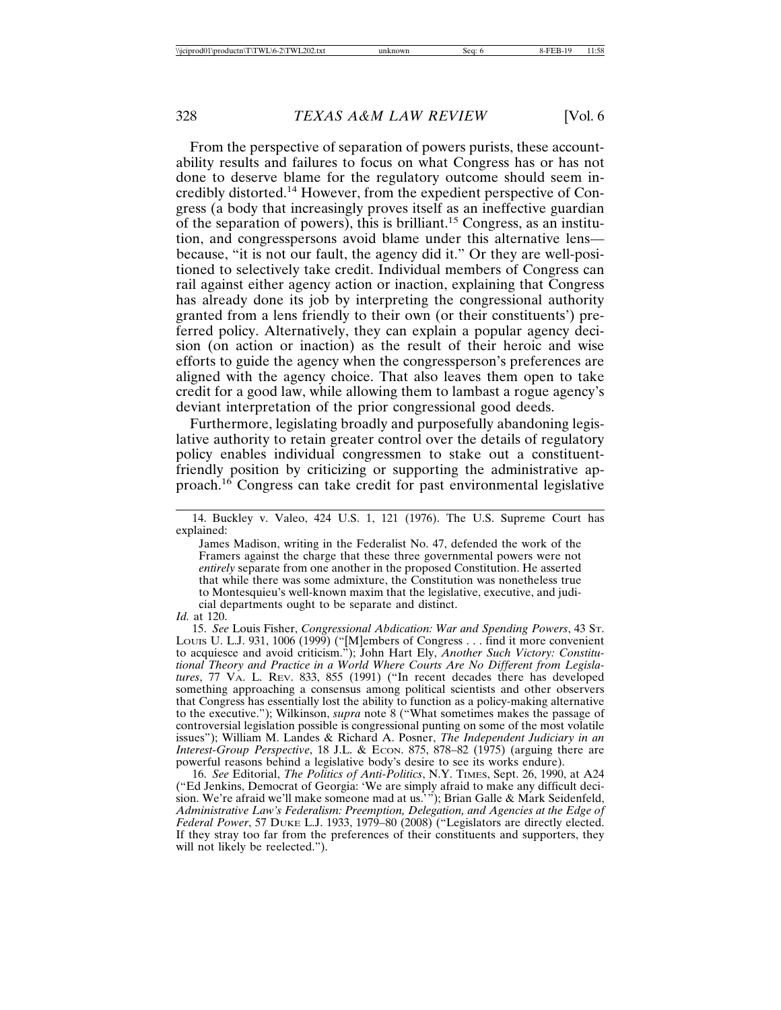From the perspective of separation of powers purists, these accountability results and failures to focus on what Congress has or has not done to deserve blame for the regulatory outcome should seem incredibly distorted.14 However, from the expedient perspective of Congress (a body that increasingly proves itself as an ineffective guardian of the separation of powers), this is brilliant.15 Congress, as an institution, and congresspersons avoid blame under this alternative lens because, "it is not our fault, the agency did it." Or they are well-positioned to selectively take credit. Individual members of Congress can rail against either agency action or inaction, explaining that Congress has already done its job by interpreting the congressional authority granted from a lens friendly to their own (or their constituents') preferred policy. Alternatively, they can explain a popular agency decision (on action or inaction) as the result of their heroic and wise efforts to guide the agency when the congressperson's preferences are aligned with the agency choice. That also leaves them open to take credit for a good law, while allowing them to lambast a rogue agency's deviant interpretation of the prior congressional good deeds.

Furthermore, legislating broadly and purposefully abandoning legislative authority to retain greater control over the details of regulatory policy enables individual congressmen to stake out a constituentfriendly position by criticizing or supporting the administrative approach.16 Congress can take credit for past environmental legislative

<sup>14.</sup> Buckley v. Valeo, 424 U.S. 1, 121 (1976). The U.S. Supreme Court has explained:

James Madison, writing in the Federalist No. 47, defended the work of the Framers against the charge that these three governmental powers were not *entirely* separate from one another in the proposed Constitution. He asserted that while there was some admixture, the Constitution was nonetheless true to Montesquieu's well-known maxim that the legislative, executive, and judicial departments ought to be separate and distinct.

*Id.* at 120.

<sup>15.</sup> *See* Louis Fisher, *Congressional Abdication: War and Spending Powers*, 43 ST. LOUIS U. L.J. 931, 1006 (1999) ("[M]embers of Congress . . . find it more convenient to acquiesce and avoid criticism."); John Hart Ely, *Another Such Victory: Constitutional Theory and Practice in a World Where Courts Are No Different from Legislatures*, 77 VA. L. REV. 833, 855 (1991) ("In recent decades there has developed something approaching a consensus among political scientists and other observers that Congress has essentially lost the ability to function as a policy-making alternative to the executive."); Wilkinson, *supra* note 8 ("What sometimes makes the passage of controversial legislation possible is congressional punting on some of the most volatile issues"); William M. Landes & Richard A. Posner, *The Independent Judiciary in an Interest-Group Perspective*, 18 J.L. & Econ. 875, 878–82 (1975) (arguing there are powerful reasons behind a legislative body's desire to see its works endure).

<sup>16.</sup> *See* Editorial, *The Politics of Anti-Politics*, N.Y. TIMES, Sept. 26, 1990, at A24 ("Ed Jenkins, Democrat of Georgia: 'We are simply afraid to make any difficult decision. We're afraid we'll make someone mad at us.'"); Brian Galle & Mark Seidenfeld, *Administrative Law's Federalism: Preemption, Delegation, and Agencies at the Edge of Federal Power*, 57 DUKE L.J. 1933, 1979–80 (2008) ("Legislators are directly elected. If they stray too far from the preferences of their constituents and supporters, they will not likely be reelected.").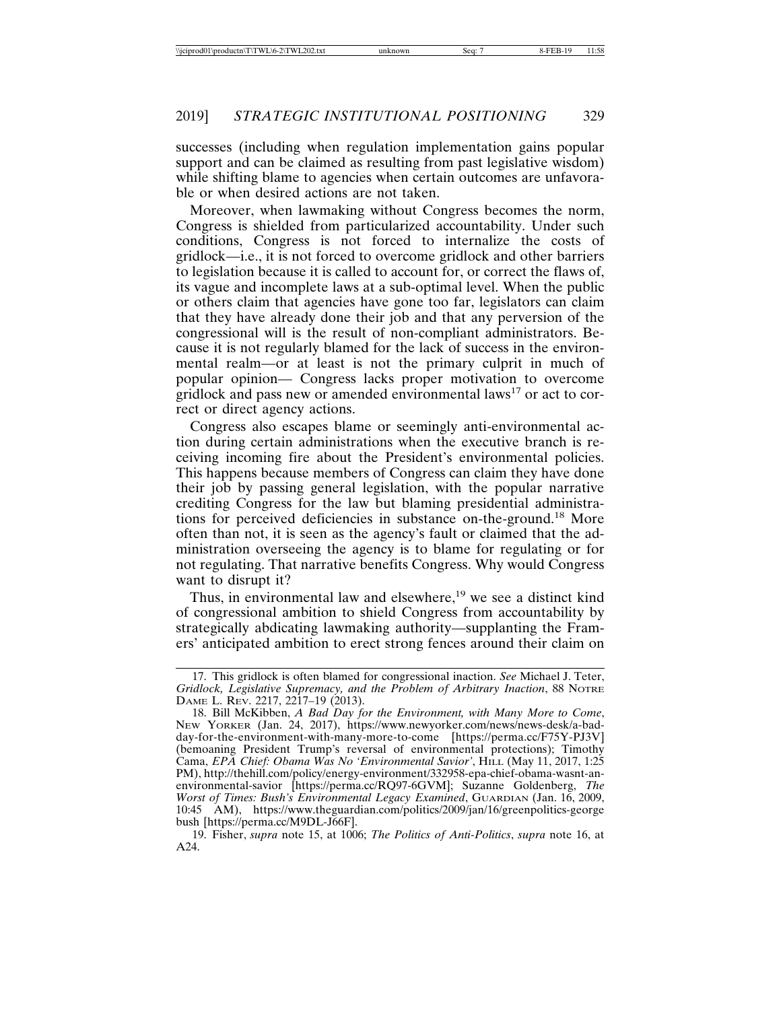successes (including when regulation implementation gains popular support and can be claimed as resulting from past legislative wisdom) while shifting blame to agencies when certain outcomes are unfavorable or when desired actions are not taken.

Moreover, when lawmaking without Congress becomes the norm, Congress is shielded from particularized accountability. Under such conditions, Congress is not forced to internalize the costs of gridlock—i.e., it is not forced to overcome gridlock and other barriers to legislation because it is called to account for, or correct the flaws of, its vague and incomplete laws at a sub-optimal level. When the public or others claim that agencies have gone too far, legislators can claim that they have already done their job and that any perversion of the congressional will is the result of non-compliant administrators. Because it is not regularly blamed for the lack of success in the environmental realm—or at least is not the primary culprit in much of popular opinion— Congress lacks proper motivation to overcome gridlock and pass new or amended environmental laws<sup>17</sup> or act to correct or direct agency actions.

Congress also escapes blame or seemingly anti-environmental action during certain administrations when the executive branch is receiving incoming fire about the President's environmental policies. This happens because members of Congress can claim they have done their job by passing general legislation, with the popular narrative crediting Congress for the law but blaming presidential administrations for perceived deficiencies in substance on-the-ground.18 More often than not, it is seen as the agency's fault or claimed that the administration overseeing the agency is to blame for regulating or for not regulating. That narrative benefits Congress. Why would Congress want to disrupt it?

Thus, in environmental law and elsewhere, $19$  we see a distinct kind of congressional ambition to shield Congress from accountability by strategically abdicating lawmaking authority—supplanting the Framers' anticipated ambition to erect strong fences around their claim on

<sup>17.</sup> This gridlock is often blamed for congressional inaction. *See* Michael J. Teter, *Gridlock, Legislative Supremacy, and the Problem of Arbitrary Inaction*, 88 NOTRE DAME L. REV. 2217, 2217–19 (2013).

<sup>18.</sup> Bill McKibben, *A Bad Day for the Environment, with Many More to Come*, NEW YORKER (Jan. 24, 2017), https://www.newyorker.com/news/news-desk/a-badday-for-the-environment-with-many-more-to-come [https://perma.cc/F75Y-PJ3V] (bemoaning President Trump's reversal of environmental protections); Timothy Cama, *EPA Chief: Obama Was No 'Environmental Savior'*, HILL (May 11, 2017, 1:25 PM), http://thehill.com/policy/energy-environment/332958-epa-chief-obama-wasnt-anenvironmental-savior [https://perma.cc/RQ97-6GVM]; Suzanne Goldenberg, *The Worst of Times: Bush's Environmental Legacy Examined*, GUARDIAN (Jan. 16, 2009, 10:45 AM), https://www.theguardian.com/politics/2009/jan/16/greenpolitics-george bush [https://perma.cc/M9DL-J66F].

<sup>19.</sup> Fisher, *supra* note 15, at 1006; *The Politics of Anti-Politics*, *supra* note 16, at A24.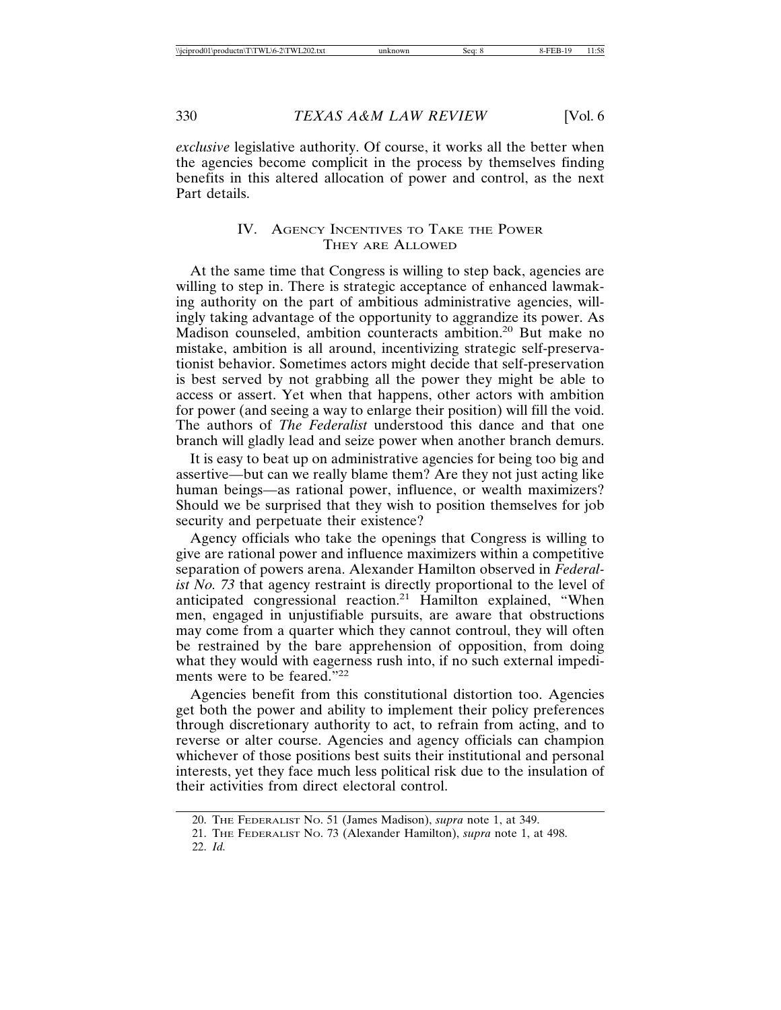*exclusive* legislative authority. Of course, it works all the better when the agencies become complicit in the process by themselves finding benefits in this altered allocation of power and control, as the next Part details.

#### IV. AGENCY INCENTIVES TO TAKE THE POWER THEY ARE ALLOWED

At the same time that Congress is willing to step back, agencies are willing to step in. There is strategic acceptance of enhanced lawmaking authority on the part of ambitious administrative agencies, willingly taking advantage of the opportunity to aggrandize its power. As Madison counseled, ambition counteracts ambition.<sup>20</sup> But make no mistake, ambition is all around, incentivizing strategic self-preservationist behavior. Sometimes actors might decide that self-preservation is best served by not grabbing all the power they might be able to access or assert. Yet when that happens, other actors with ambition for power (and seeing a way to enlarge their position) will fill the void. The authors of *The Federalist* understood this dance and that one branch will gladly lead and seize power when another branch demurs.

It is easy to beat up on administrative agencies for being too big and assertive—but can we really blame them? Are they not just acting like human beings—as rational power, influence, or wealth maximizers? Should we be surprised that they wish to position themselves for job security and perpetuate their existence?

Agency officials who take the openings that Congress is willing to give are rational power and influence maximizers within a competitive separation of powers arena. Alexander Hamilton observed in *Federalist No. 73* that agency restraint is directly proportional to the level of anticipated congressional reaction.21 Hamilton explained, "When men, engaged in unjustifiable pursuits, are aware that obstructions may come from a quarter which they cannot controul, they will often be restrained by the bare apprehension of opposition, from doing what they would with eagerness rush into, if no such external impediments were to be feared."<sup>22</sup>

Agencies benefit from this constitutional distortion too. Agencies get both the power and ability to implement their policy preferences through discretionary authority to act, to refrain from acting, and to reverse or alter course. Agencies and agency officials can champion whichever of those positions best suits their institutional and personal interests, yet they face much less political risk due to the insulation of their activities from direct electoral control.

<sup>20.</sup> THE FEDERALIST NO. 51 (James Madison), *supra* note 1, at 349.

<sup>21.</sup> THE FEDERALIST NO. 73 (Alexander Hamilton), *supra* note 1, at 498.

<sup>22.</sup> *Id.*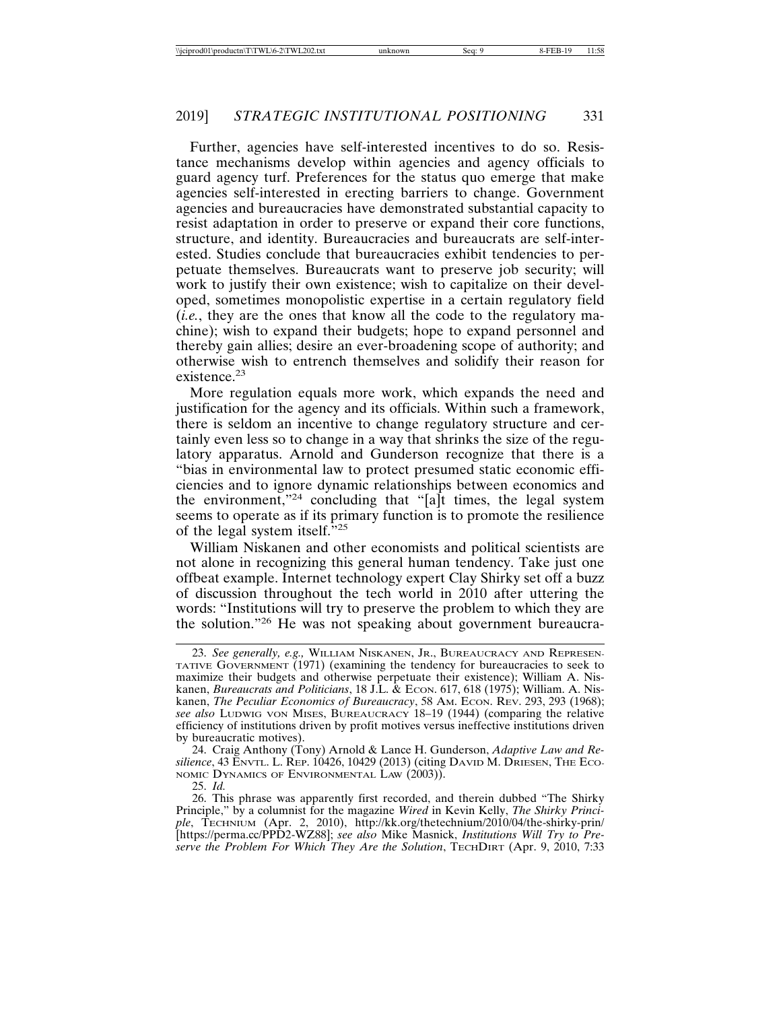Further, agencies have self-interested incentives to do so. Resistance mechanisms develop within agencies and agency officials to guard agency turf. Preferences for the status quo emerge that make agencies self-interested in erecting barriers to change. Government agencies and bureaucracies have demonstrated substantial capacity to resist adaptation in order to preserve or expand their core functions, structure, and identity. Bureaucracies and bureaucrats are self-interested. Studies conclude that bureaucracies exhibit tendencies to perpetuate themselves. Bureaucrats want to preserve job security; will work to justify their own existence; wish to capitalize on their developed, sometimes monopolistic expertise in a certain regulatory field (*i.e.*, they are the ones that know all the code to the regulatory machine); wish to expand their budgets; hope to expand personnel and thereby gain allies; desire an ever-broadening scope of authority; and otherwise wish to entrench themselves and solidify their reason for existence.23

More regulation equals more work, which expands the need and justification for the agency and its officials. Within such a framework, there is seldom an incentive to change regulatory structure and certainly even less so to change in a way that shrinks the size of the regulatory apparatus. Arnold and Gunderson recognize that there is a "bias in environmental law to protect presumed static economic efficiencies and to ignore dynamic relationships between economics and the environment,"24 concluding that "[a]t times, the legal system seems to operate as if its primary function is to promote the resilience of the legal system itself."<sup>25</sup>

William Niskanen and other economists and political scientists are not alone in recognizing this general human tendency. Take just one offbeat example. Internet technology expert Clay Shirky set off a buzz of discussion throughout the tech world in 2010 after uttering the words: "Institutions will try to preserve the problem to which they are the solution."26 He was not speaking about government bureaucra-

24. Craig Anthony (Tony) Arnold & Lance H. Gunderson, *Adaptive Law and Resilience*, 43 ENVTL. L. REP. 10426, 10429 (2013) (citing DAVID M. DRIESEN, THE ECO-NOMIC DYNAMICS OF ENVIRONMENTAL LAW (2003)).

25. *Id.*

26. This phrase was apparently first recorded, and therein dubbed "The Shirky Principle," by a columnist for the magazine *Wired* in Kevin Kelly, *The Shirky Principle*, TECHNIUM (Apr. 2, 2010), http://kk.org/thetechnium/2010/04/the-shirky-prin/ [https://perma.cc/PPD2-WZ88]; *see also* Mike Masnick, *Institutions Will Try to Preserve the Problem For Which They Are the Solution*, TECHDIRT (Apr. 9, 2010, 7:33

<sup>23.</sup> *See generally, e.g.,* WILLIAM NISKANEN, JR., BUREAUCRACY AND REPRESEN-TATIVE GOVERNMENT (1971) (examining the tendency for bureaucracies to seek to maximize their budgets and otherwise perpetuate their existence); William A. Niskanen, *Bureaucrats and Politicians*, 18 J.L. & ECON. 617, 618 (1975); William. A. Niskanen, *The Peculiar Economics of Bureaucracy*, 58 AM. ECON. REV. 293, 293 (1968); *see also* LUDWIG VON MISES, BUREAUCRACY 18–19 (1944) (comparing the relative efficiency of institutions driven by profit motives versus ineffective institutions driven by bureaucratic motives).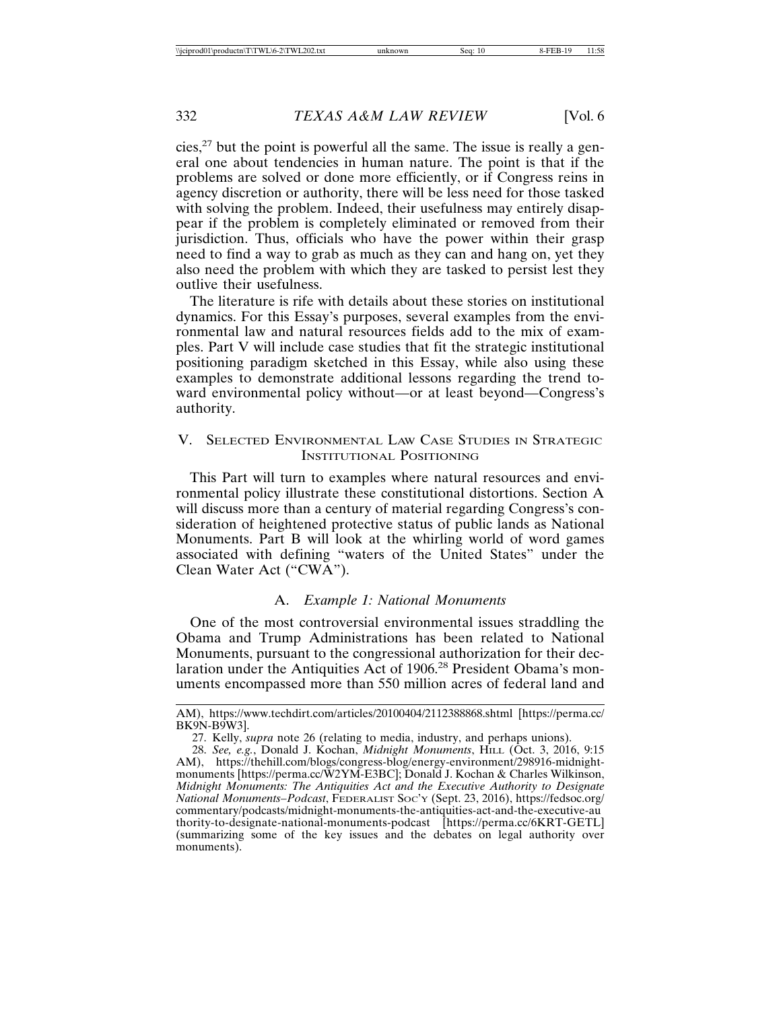cies,<sup>27</sup> but the point is powerful all the same. The issue is really a general one about tendencies in human nature. The point is that if the problems are solved or done more efficiently, or if Congress reins in agency discretion or authority, there will be less need for those tasked with solving the problem. Indeed, their usefulness may entirely disappear if the problem is completely eliminated or removed from their jurisdiction. Thus, officials who have the power within their grasp need to find a way to grab as much as they can and hang on, yet they also need the problem with which they are tasked to persist lest they outlive their usefulness.

The literature is rife with details about these stories on institutional dynamics. For this Essay's purposes, several examples from the environmental law and natural resources fields add to the mix of examples. Part V will include case studies that fit the strategic institutional positioning paradigm sketched in this Essay, while also using these examples to demonstrate additional lessons regarding the trend toward environmental policy without—or at least beyond—Congress's authority.

#### V. SELECTED ENVIRONMENTAL LAW CASE STUDIES IN STRATEGIC INSTITUTIONAL POSITIONING

This Part will turn to examples where natural resources and environmental policy illustrate these constitutional distortions. Section A will discuss more than a century of material regarding Congress's consideration of heightened protective status of public lands as National Monuments. Part B will look at the whirling world of word games associated with defining "waters of the United States" under the Clean Water Act ("CWA").

#### A. *Example 1: National Monuments*

One of the most controversial environmental issues straddling the Obama and Trump Administrations has been related to National Monuments, pursuant to the congressional authorization for their declaration under the Antiquities Act of 1906.28 President Obama's monuments encompassed more than 550 million acres of federal land and

AM), https://www.techdirt.com/articles/20100404/2112388868.shtml [https://perma.cc/ BK9N-B9W3].

<sup>27.</sup> Kelly, *supra* note 26 (relating to media, industry, and perhaps unions).

<sup>28.</sup> *See, e.g.*, Donald J. Kochan, *Midnight Monuments*, HILL (Oct. 3, 2016, 9:15 AM), https://thehill.com/blogs/congress-blog/energy-environment/298916-midnightmonuments [https://perma.cc/W2YM-E3BC]; Donald J. Kochan & Charles Wilkinson, *Midnight Monuments: The Antiquities Act and the Executive Authority to Designate National Monuments–Podcast*, FEDERALIST SOC'Y (Sept. 23, 2016), https://fedsoc.org/ commentary/podcasts/midnight-monuments-the-antiquities-act-and-the-executive-au thority-to-designate-national-monuments-podcast [https://perma.cc/6KRT-GETL] (summarizing some of the key issues and the debates on legal authority over monuments).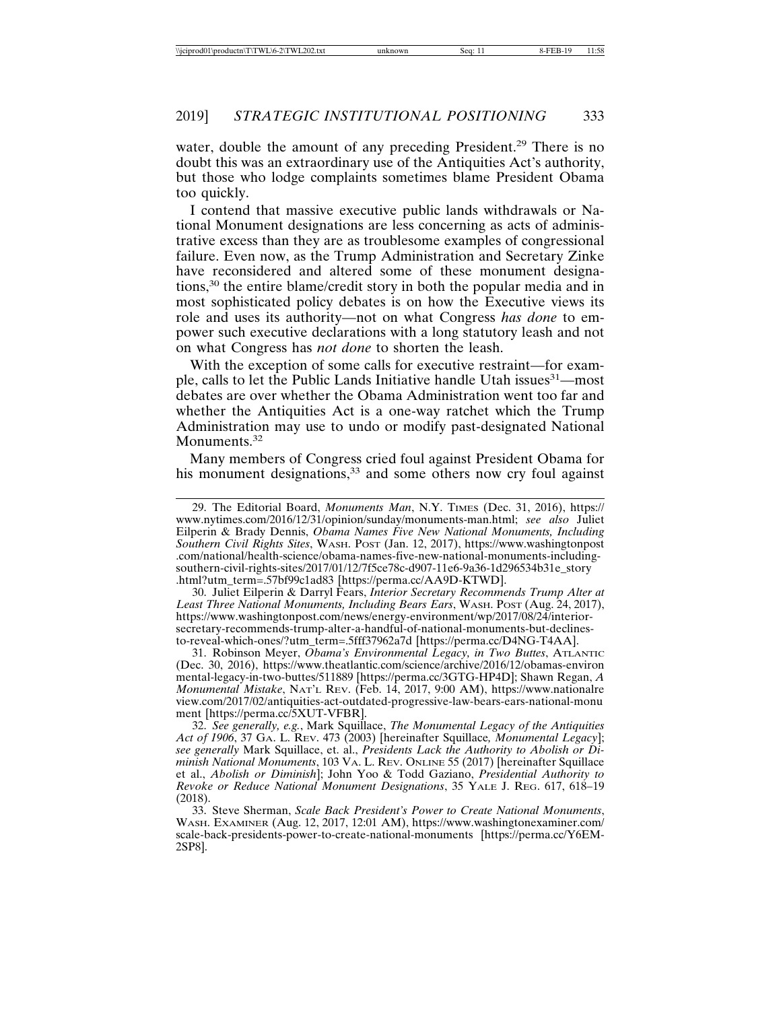water, double the amount of any preceding President.<sup>29</sup> There is no doubt this was an extraordinary use of the Antiquities Act's authority, but those who lodge complaints sometimes blame President Obama too quickly.

I contend that massive executive public lands withdrawals or National Monument designations are less concerning as acts of administrative excess than they are as troublesome examples of congressional failure. Even now, as the Trump Administration and Secretary Zinke have reconsidered and altered some of these monument designations,30 the entire blame/credit story in both the popular media and in most sophisticated policy debates is on how the Executive views its role and uses its authority—not on what Congress *has done* to empower such executive declarations with a long statutory leash and not on what Congress has *not done* to shorten the leash.

With the exception of some calls for executive restraint—for example, calls to let the Public Lands Initiative handle Utah issues<sup>31</sup>—most debates are over whether the Obama Administration went too far and whether the Antiquities Act is a one-way ratchet which the Trump Administration may use to undo or modify past-designated National Monuments.<sup>32</sup>

Many members of Congress cried foul against President Obama for his monument designations, $33$  and some others now cry foul against

30. Juliet Eilperin & Darryl Fears, *Interior Secretary Recommends Trump Alter at Least Three National Monuments, Including Bears Ears*, WASH. POST (Aug. 24, 2017), https://www.washingtonpost.com/news/energy-environment/wp/2017/08/24/interiorsecretary-recommends-trump-alter-a-handful-of-national-monuments-but-declinesto-reveal-which-ones/?utm\_term=.5fff37962a7d [https://perma.cc/D4NG-T4AA].

31. Robinson Meyer, *Obama's Environmental Legacy, in Two Buttes*, ATLANTIC (Dec. 30, 2016), https://www.theatlantic.com/science/archive/2016/12/obamas-environ mental-legacy-in-two-buttes/511889 [https://perma.cc/3GTG-HP4D]; Shawn Regan, *A Monumental Mistake*, NAT'L REV. (Feb. 14, 2017, 9:00 AM), https://www.nationalre view.com/2017/02/antiquities-act-outdated-progressive-law-bears-ears-national-monu ment [https://perma.cc/5XUT-VFBR].

32. *See generally, e.g.*, Mark Squillace, *The Monumental Legacy of the Antiquities Act of 1906*, 37 GA. L. REV. 473 (2003) [hereinafter Squillace*, Monumental Legacy*]; *see generally* Mark Squillace, et. al., *Presidents Lack the Authority to Abolish or Diminish National Monuments*, 103 VA. L. REV. ONLINE 55 (2017) [hereinafter Squillace et al., *Abolish or Diminish*]; John Yoo & Todd Gaziano, *Presidential Authority to Revoke or Reduce National Monument Designations*, 35 YALE J. REG. 617, 618–19 (2018).

33. Steve Sherman, *Scale Back President's Power to Create National Monuments*, WASH. EXAMINER (Aug. 12, 2017, 12:01 AM), https://www.washingtonexaminer.com/ scale-back-presidents-power-to-create-national-monuments [https://perma.cc/Y6EM-2SP8].

<sup>29.</sup> The Editorial Board, *Monuments Man*, N.Y. TIMES (Dec. 31, 2016), https:// www.nytimes.com/2016/12/31/opinion/sunday/monuments-man.html; *see also* Juliet Eilperin & Brady Dennis, *Obama Names Five New National Monuments, Including Southern Civil Rights Sites*, WASH. POST (Jan. 12, 2017), https://www.washingtonpost .com/national/health-science/obama-names-five-new-national-monuments-includingsouthern-civil-rights-sites/2017/01/12/7f5ce78c-d907-11e6-9a36-1d296534b31e\_story .html?utm\_term=.57bf99c1ad83 [https://perma.cc/AA9D-KTWD].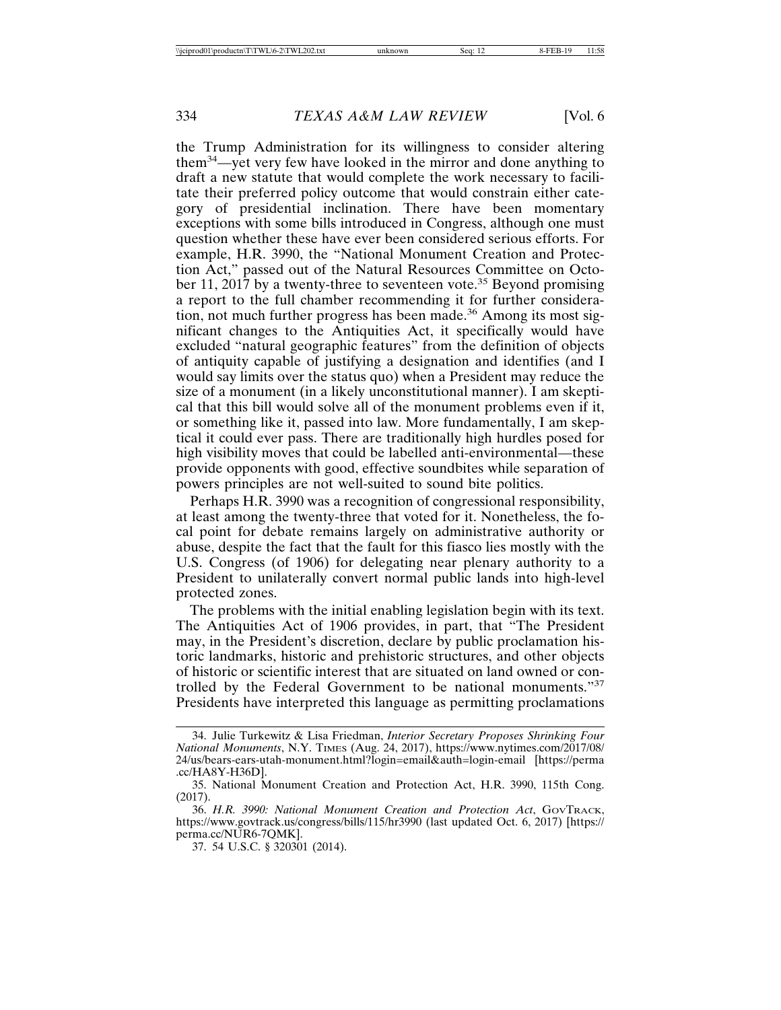the Trump Administration for its willingness to consider altering them34—yet very few have looked in the mirror and done anything to draft a new statute that would complete the work necessary to facilitate their preferred policy outcome that would constrain either category of presidential inclination. There have been momentary exceptions with some bills introduced in Congress, although one must question whether these have ever been considered serious efforts. For example, H.R. 3990, the "National Monument Creation and Protection Act," passed out of the Natural Resources Committee on October 11, 2017 by a twenty-three to seventeen vote.<sup>35</sup> Beyond promising a report to the full chamber recommending it for further consideration, not much further progress has been made.<sup>36</sup> Among its most significant changes to the Antiquities Act, it specifically would have excluded "natural geographic features" from the definition of objects of antiquity capable of justifying a designation and identifies (and I would say limits over the status quo) when a President may reduce the size of a monument (in a likely unconstitutional manner). I am skeptical that this bill would solve all of the monument problems even if it, or something like it, passed into law. More fundamentally, I am skeptical it could ever pass. There are traditionally high hurdles posed for high visibility moves that could be labelled anti-environmental—these provide opponents with good, effective soundbites while separation of powers principles are not well-suited to sound bite politics.

Perhaps H.R. 3990 was a recognition of congressional responsibility, at least among the twenty-three that voted for it. Nonetheless, the focal point for debate remains largely on administrative authority or abuse, despite the fact that the fault for this fiasco lies mostly with the U.S. Congress (of 1906) for delegating near plenary authority to a President to unilaterally convert normal public lands into high-level protected zones.

The problems with the initial enabling legislation begin with its text. The Antiquities Act of 1906 provides, in part, that "The President may, in the President's discretion, declare by public proclamation historic landmarks, historic and prehistoric structures, and other objects of historic or scientific interest that are situated on land owned or controlled by the Federal Government to be national monuments."<sup>37</sup> Presidents have interpreted this language as permitting proclamations

<sup>34.</sup> Julie Turkewitz & Lisa Friedman, *Interior Secretary Proposes Shrinking Four National Monuments*, N.Y. TIMES (Aug. 24, 2017), https://www.nytimes.com/2017/08/ 24/us/bears-ears-utah-monument.html?login=email&auth=login-email [https://perma .cc/HA8Y-H36D].

<sup>35.</sup> National Monument Creation and Protection Act, H.R. 3990, 115th Cong. (2017).

<sup>36.</sup> *H.R. 3990: National Monument Creation and Protection Act*, GOVTRACK, https://www.govtrack.us/congress/bills/115/hr3990 (last updated Oct. 6, 2017) [https:// perma.cc/NUR6-7QMK].

<sup>37. 54</sup> U.S.C. § 320301 (2014).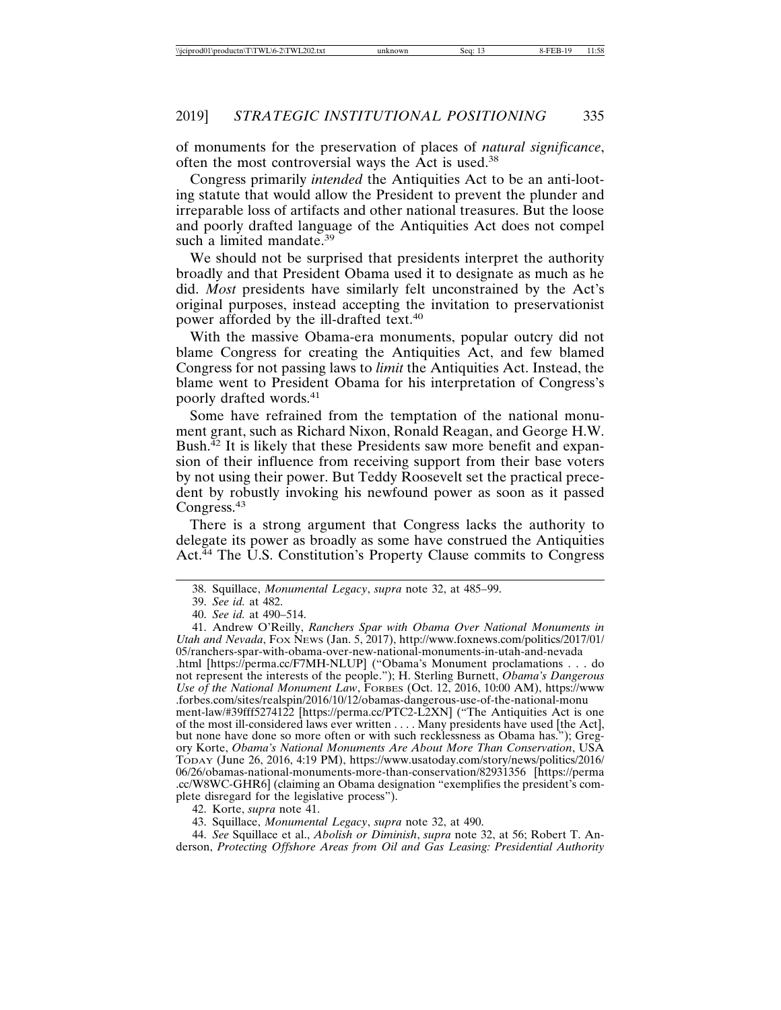of monuments for the preservation of places of *natural significance*, often the most controversial ways the Act is used.<sup>38</sup>

Congress primarily *intended* the Antiquities Act to be an anti-looting statute that would allow the President to prevent the plunder and irreparable loss of artifacts and other national treasures. But the loose and poorly drafted language of the Antiquities Act does not compel such a limited mandate.<sup>39</sup>

We should not be surprised that presidents interpret the authority broadly and that President Obama used it to designate as much as he did. *Most* presidents have similarly felt unconstrained by the Act's original purposes, instead accepting the invitation to preservationist power afforded by the ill-drafted text.<sup>40</sup>

With the massive Obama-era monuments, popular outcry did not blame Congress for creating the Antiquities Act, and few blamed Congress for not passing laws to *limit* the Antiquities Act. Instead, the blame went to President Obama for his interpretation of Congress's poorly drafted words.<sup>41</sup>

Some have refrained from the temptation of the national monument grant, such as Richard Nixon, Ronald Reagan, and George H.W. Bush. $^{42}$  It is likely that these Presidents saw more benefit and expansion of their influence from receiving support from their base voters by not using their power. But Teddy Roosevelt set the practical precedent by robustly invoking his newfound power as soon as it passed Congress.<sup>43</sup>

There is a strong argument that Congress lacks the authority to delegate its power as broadly as some have construed the Antiquities Act.<sup>44</sup> The U.S. Constitution's Property Clause commits to Congress

.html [https://perma.cc/F7MH-NLUP] ("Obama's Monument proclamations . . . do not represent the interests of the people."); H. Sterling Burnett, *Obama's Dangerous Use of the National Monument Law*, FORBES (Oct. 12, 2016, 10:00 AM), https://www .forbes.com/sites/realspin/2016/10/12/obamas-dangerous-use-of-the-national-monu

ment-law/#39fff5274122 [https://perma.cc/PTC2-L2XN] ("The Antiquities Act is one of the most ill-considered laws ever written . . . . Many presidents have used [the Act], but none have done so more often or with such recklessness as Obama has."); Gregory Korte, *Obama's National Monuments Are About More Than Conservation*, USA TODAY (June 26, 2016, 4:19 PM), https://www.usatoday.com/story/news/politics/2016/ 06/26/obamas-national-monuments-more-than-conservation/82931356 [https://perma .cc/W8WC-GHR6] (claiming an Obama designation "exemplifies the president's complete disregard for the legislative process").

42. Korte, *supra* note 41.

44. *See* Squillace et al., *Abolish or Diminish*, *supra* note 32, at 56; Robert T. Anderson, *Protecting Offshore Areas from Oil and Gas Leasing: Presidential Authority*

<sup>38.</sup> Squillace, *Monumental Legacy*, *supra* note 32, at 485–99.

<sup>39.</sup> *See id.* at 482.

<sup>40.</sup> *See id.* at 490–514.

<sup>41.</sup> Andrew O'Reilly, *Ranchers Spar with Obama Over National Monuments in Utah and Nevada*, FOX NEWS (Jan. 5, 2017), http://www.foxnews.com/politics/2017/01/ 05/ranchers-spar-with-obama-over-new-national-monuments-in-utah-and-nevada

<sup>43.</sup> Squillace, *Monumental Legacy*, *supra* note 32, at 490.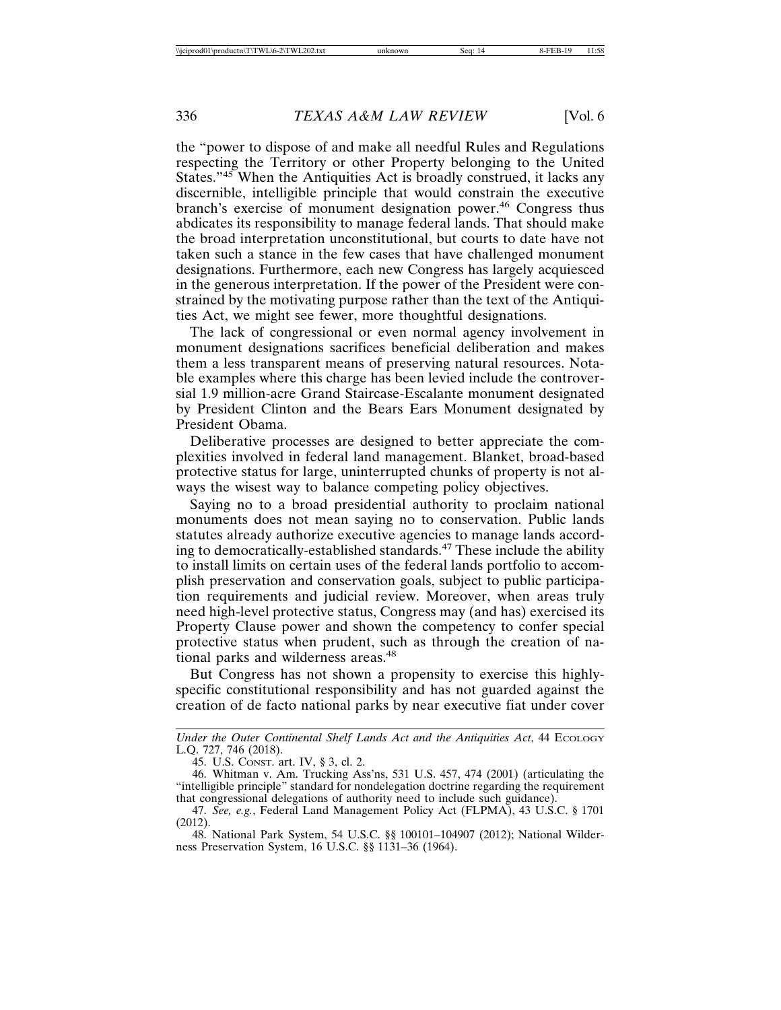the "power to dispose of and make all needful Rules and Regulations respecting the Territory or other Property belonging to the United States."45 When the Antiquities Act is broadly construed, it lacks any discernible, intelligible principle that would constrain the executive branch's exercise of monument designation power.<sup>46</sup> Congress thus abdicates its responsibility to manage federal lands. That should make the broad interpretation unconstitutional, but courts to date have not taken such a stance in the few cases that have challenged monument designations. Furthermore, each new Congress has largely acquiesced in the generous interpretation. If the power of the President were constrained by the motivating purpose rather than the text of the Antiquities Act, we might see fewer, more thoughtful designations.

The lack of congressional or even normal agency involvement in monument designations sacrifices beneficial deliberation and makes them a less transparent means of preserving natural resources. Notable examples where this charge has been levied include the controversial 1.9 million-acre Grand Staircase-Escalante monument designated by President Clinton and the Bears Ears Monument designated by President Obama.

Deliberative processes are designed to better appreciate the complexities involved in federal land management. Blanket, broad-based protective status for large, uninterrupted chunks of property is not always the wisest way to balance competing policy objectives.

Saying no to a broad presidential authority to proclaim national monuments does not mean saying no to conservation. Public lands statutes already authorize executive agencies to manage lands according to democratically-established standards.47 These include the ability to install limits on certain uses of the federal lands portfolio to accomplish preservation and conservation goals, subject to public participation requirements and judicial review. Moreover, when areas truly need high-level protective status, Congress may (and has) exercised its Property Clause power and shown the competency to confer special protective status when prudent, such as through the creation of national parks and wilderness areas.<sup>48</sup>

But Congress has not shown a propensity to exercise this highlyspecific constitutional responsibility and has not guarded against the creation of de facto national parks by near executive fiat under cover

*Under the Outer Continental Shelf Lands Act and the Antiquities Act*, 44 ECOLOGY L.Q. 727, 746 (2018).

45. U.S. CONST. art. IV, § 3, cl. 2.

46. Whitman v. Am. Trucking Ass'ns, 531 U.S. 457, 474 (2001) (articulating the "intelligible principle" standard for nondelegation doctrine regarding the requirement that congressional delegations of authority need to include such guidance).

47. *See, e.g.*, Federal Land Management Policy Act (FLPMA), 43 U.S.C. § 1701 (2012).

48. National Park System, 54 U.S.C. §§ 100101–104907 (2012); National Wilderness Preservation System, 16 U.S.C. §§ 1131–36 (1964).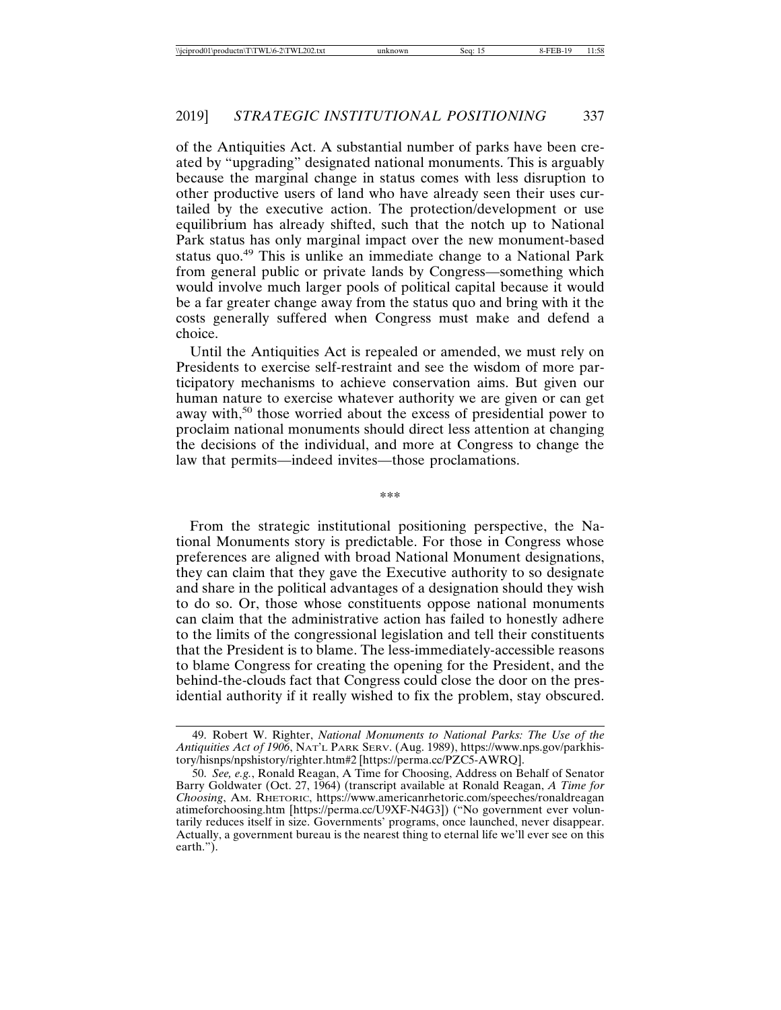of the Antiquities Act. A substantial number of parks have been created by "upgrading" designated national monuments. This is arguably because the marginal change in status comes with less disruption to other productive users of land who have already seen their uses curtailed by the executive action. The protection/development or use equilibrium has already shifted, such that the notch up to National Park status has only marginal impact over the new monument-based status quo.49 This is unlike an immediate change to a National Park from general public or private lands by Congress—something which would involve much larger pools of political capital because it would be a far greater change away from the status quo and bring with it the costs generally suffered when Congress must make and defend a choice.

Until the Antiquities Act is repealed or amended, we must rely on Presidents to exercise self-restraint and see the wisdom of more participatory mechanisms to achieve conservation aims. But given our human nature to exercise whatever authority we are given or can get away with,<sup>50</sup> those worried about the excess of presidential power to proclaim national monuments should direct less attention at changing the decisions of the individual, and more at Congress to change the law that permits—indeed invites—those proclamations.

\*\*\*

From the strategic institutional positioning perspective, the National Monuments story is predictable. For those in Congress whose preferences are aligned with broad National Monument designations, they can claim that they gave the Executive authority to so designate and share in the political advantages of a designation should they wish to do so. Or, those whose constituents oppose national monuments can claim that the administrative action has failed to honestly adhere to the limits of the congressional legislation and tell their constituents that the President is to blame. The less-immediately-accessible reasons to blame Congress for creating the opening for the President, and the behind-the-clouds fact that Congress could close the door on the presidential authority if it really wished to fix the problem, stay obscured.

<sup>49.</sup> Robert W. Righter, *National Monuments to National Parks: The Use of the Antiquities Act of 1906*, NAT'L PARK SERV. (Aug. 1989), https://www.nps.gov/parkhistory/hisnps/npshistory/righter.htm#2 [https://perma.cc/PZC5-AWRQ].

<sup>50.</sup> *See, e.g.*, Ronald Reagan, A Time for Choosing, Address on Behalf of Senator Barry Goldwater (Oct. 27, 1964) (transcript available at Ronald Reagan, *A Time for Choosing*, AM. RHETORIC, https://www.americanrhetoric.com/speeches/ronaldreagan atimeforchoosing.htm [https://perma.cc/U9XF-N4G3]) ("No government ever voluntarily reduces itself in size. Governments' programs, once launched, never disappear. Actually, a government bureau is the nearest thing to eternal life we'll ever see on this earth.").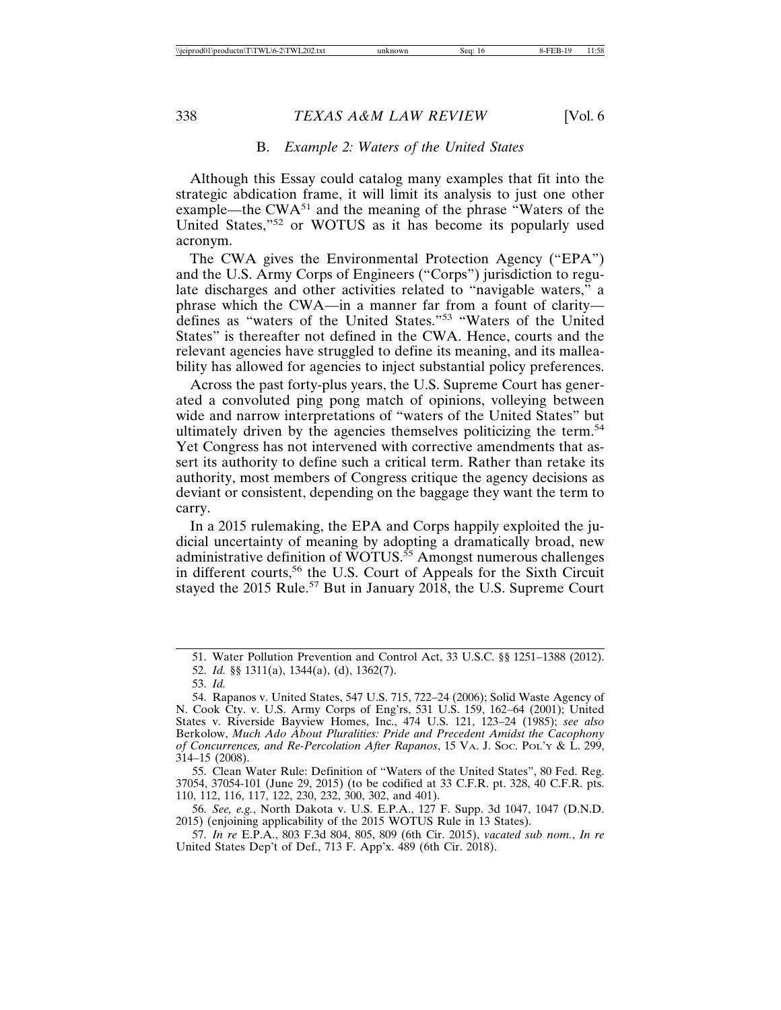#### B. *Example 2: Waters of the United States*

Although this Essay could catalog many examples that fit into the strategic abdication frame, it will limit its analysis to just one other example—the  $CWA^{51}$  and the meaning of the phrase "Waters of the United States,"52 or WOTUS as it has become its popularly used acronym.

The CWA gives the Environmental Protection Agency ("EPA") and the U.S. Army Corps of Engineers ("Corps") jurisdiction to regulate discharges and other activities related to "navigable waters," a phrase which the CWA—in a manner far from a fount of clarity defines as "waters of the United States."53 "Waters of the United States" is thereafter not defined in the CWA. Hence, courts and the relevant agencies have struggled to define its meaning, and its malleability has allowed for agencies to inject substantial policy preferences.

Across the past forty-plus years, the U.S. Supreme Court has generated a convoluted ping pong match of opinions, volleying between wide and narrow interpretations of "waters of the United States" but ultimately driven by the agencies themselves politicizing the term.<sup>54</sup> Yet Congress has not intervened with corrective amendments that assert its authority to define such a critical term. Rather than retake its authority, most members of Congress critique the agency decisions as deviant or consistent, depending on the baggage they want the term to carry.

In a 2015 rulemaking, the EPA and Corps happily exploited the judicial uncertainty of meaning by adopting a dramatically broad, new administrative definition of  $\overline{WOTUS}$ .<sup>55</sup> Amongst numerous challenges in different courts,<sup>56</sup> the U.S. Court of Appeals for the Sixth Circuit staved the 2015 Rule.<sup>57</sup> But in January 2018, the U.S. Supreme Court

55. Clean Water Rule: Definition of "Waters of the United States", 80 Fed. Reg. 37054, 37054-101 (June 29, 2015) (to be codified at 33 C.F.R. pt. 328, 40 C.F.R. pts. 110, 112, 116, 117, 122, 230, 232, 300, 302, and 401).

56. *See, e.g.*, North Dakota v. U.S. E.P.A., 127 F. Supp. 3d 1047, 1047 (D.N.D. 2015) (enjoining applicability of the 2015 WOTUS Rule in 13 States).

57. *In re* E.P.A., 803 F.3d 804, 805, 809 (6th Cir. 2015), *vacated sub nom.*, *In re* United States Dep't of Def., 713 F. App'x. 489 (6th Cir. 2018).

<sup>51.</sup> Water Pollution Prevention and Control Act, 33 U.S.C. §§ 1251–1388 (2012).

<sup>52.</sup> *Id.* §§ 1311(a), 1344(a), (d), 1362(7).

<sup>53.</sup> *Id.*

<sup>54.</sup> Rapanos v. United States, 547 U.S. 715, 722–24 (2006); Solid Waste Agency of N. Cook Cty. v. U.S. Army Corps of Eng'rs, 531 U.S. 159, 162–64 (2001); United States v. Riverside Bayview Homes, Inc., 474 U.S. 121, 123–24 (1985); *see also* Berkolow, *Much Ado About Pluralities: Pride and Precedent Amidst the Cacophony of Concurrences, and Re-Percolation After Rapanos*, 15 VA. J. SOC. POL'Y & L. 299, 314–15 (2008).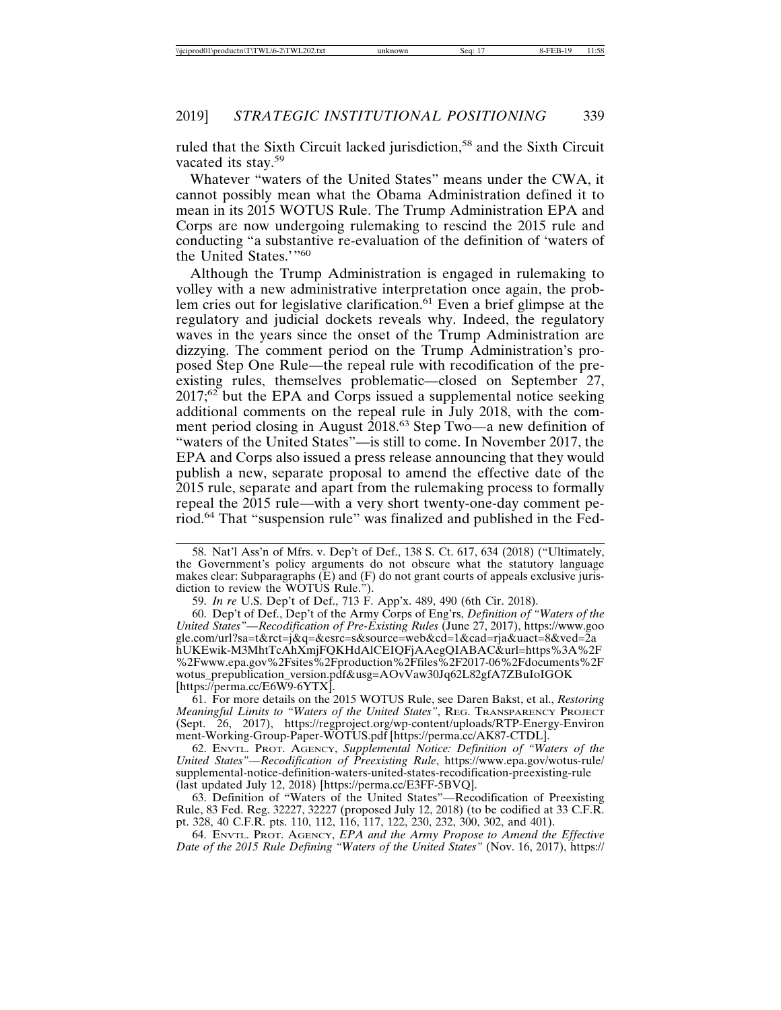ruled that the Sixth Circuit lacked jurisdiction,58 and the Sixth Circuit vacated its stay.<sup>59</sup>

Whatever "waters of the United States" means under the CWA, it cannot possibly mean what the Obama Administration defined it to mean in its 2015 WOTUS Rule. The Trump Administration EPA and Corps are now undergoing rulemaking to rescind the 2015 rule and conducting "a substantive re-evaluation of the definition of 'waters of the United States.'"<sup>60</sup>

Although the Trump Administration is engaged in rulemaking to volley with a new administrative interpretation once again, the problem cries out for legislative clarification.<sup>61</sup> Even a brief glimpse at the regulatory and judicial dockets reveals why. Indeed, the regulatory waves in the years since the onset of the Trump Administration are dizzying. The comment period on the Trump Administration's proposed Step One Rule—the repeal rule with recodification of the preexisting rules, themselves problematic—closed on September 27,  $2017$ ;<sup>62</sup> but the EPA and Corps issued a supplemental notice seeking additional comments on the repeal rule in July 2018, with the comment period closing in August 2018.<sup>63</sup> Step Two—a new definition of "waters of the United States"—is still to come. In November 2017, the EPA and Corps also issued a press release announcing that they would publish a new, separate proposal to amend the effective date of the 2015 rule, separate and apart from the rulemaking process to formally repeal the 2015 rule—with a very short twenty-one-day comment period.64 That "suspension rule" was finalized and published in the Fed-

59. *In re* U.S. Dep't of Def., 713 F. App'x. 489, 490 (6th Cir. 2018).

60. Dep't of Def., Dep't of the Army Corps of Eng'rs, *Definition of "Waters of the United States"*—*Recodification of Pre-Existing Rules* (June 27, 2017), https://www.goo gle.com/url?sa=t&rct=j&q=&esrc=s&source=web&cd=1&cad=rja&uact=8&ved=2a hUKEwik-M3MhtTcAhXmjFQKHdAlCEIQFjAAegQIABAC&url=https%3A%2F %2Fwww.epa.gov%2Fsites%2Fproduction%2Ffiles%2F2017-06%2Fdocuments%2F wotus\_prepublication\_version.pdf&usg=AOvVaw30Jq62L82gfA7ZBuIoIGOK [https://perma.cc/E6W9-6YTX].

61. For more details on the 2015 WOTUS Rule, see Daren Bakst, et al., *Restoring Meaningful Limits to "Waters of the United States"*, REG. TRANSPARENCY PROJECT (Sept. 26, 2017), https://regproject.org/wp-content/uploads/RTP-Energy-Environ ment-Working-Group-Paper-WOTUS.pdf [https://perma.cc/AK87-CTDL].

62. ENVTL. PROT. AGENCY, *Supplemental Notice: Definition of "Waters of the United States"*—*Recodification of Preexisting Rule*, https://www.epa.gov/wotus-rule/ supplemental-notice-definition-waters-united-states-recodification-preexisting-rule (last updated July 12, 2018) [https://perma.cc/E3FF-5BVQ].

63. Definition of "Waters of the United States"—Recodification of Preexisting Rule, 83 Fed. Reg. 32227, 32227 (proposed July 12, 2018) (to be codified at 33 C.F.R. pt. 328, 40 C.F.R. pts. 110, 112, 116, 117, 122, 230, 232, 300, 302, and 401).

64. ENVTL. PROT. AGENCY, *EPA and the Army Propose to Amend the Effective Date of the 2015 Rule Defining "Waters of the United States"* (Nov. 16, 2017), https://

<sup>58.</sup> Nat'l Ass'n of Mfrs. v. Dep't of Def., 138 S. Ct. 617, 634 (2018) ("Ultimately, the Government's policy arguments do not obscure what the statutory language makes clear: Subparagraphs  $(E)$  and  $(F)$  do not grant courts of appeals exclusive jurisdiction to review the WOTUS Rule.").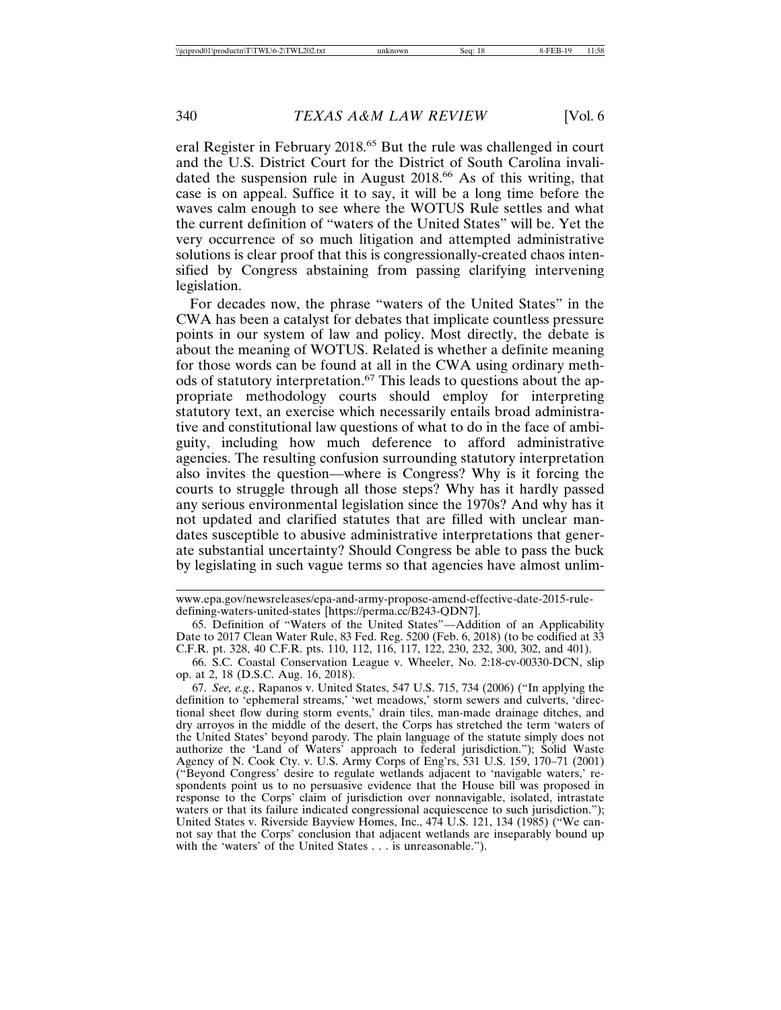eral Register in February 2018.65 But the rule was challenged in court and the U.S. District Court for the District of South Carolina invalidated the suspension rule in August 2018.<sup>66</sup> As of this writing, that case is on appeal. Suffice it to say, it will be a long time before the waves calm enough to see where the WOTUS Rule settles and what the current definition of "waters of the United States" will be. Yet the very occurrence of so much litigation and attempted administrative solutions is clear proof that this is congressionally-created chaos intensified by Congress abstaining from passing clarifying intervening legislation.

For decades now, the phrase "waters of the United States" in the CWA has been a catalyst for debates that implicate countless pressure points in our system of law and policy. Most directly, the debate is about the meaning of WOTUS. Related is whether a definite meaning for those words can be found at all in the CWA using ordinary methods of statutory interpretation.67 This leads to questions about the appropriate methodology courts should employ for interpreting statutory text, an exercise which necessarily entails broad administrative and constitutional law questions of what to do in the face of ambiguity, including how much deference to afford administrative agencies. The resulting confusion surrounding statutory interpretation also invites the question—where is Congress? Why is it forcing the courts to struggle through all those steps? Why has it hardly passed any serious environmental legislation since the 1970s? And why has it not updated and clarified statutes that are filled with unclear mandates susceptible to abusive administrative interpretations that generate substantial uncertainty? Should Congress be able to pass the buck by legislating in such vague terms so that agencies have almost unlim-

www.epa.gov/newsreleases/epa-and-army-propose-amend-effective-date-2015-ruledefining-waters-united-states [https://perma.cc/B243-QDN7].

<sup>65.</sup> Definition of "Waters of the United States"—Addition of an Applicability Date to 2017 Clean Water Rule, 83 Fed. Reg. 5200 (Feb. 6, 2018) (to be codified at 33 C.F.R. pt. 328, 40 C.F.R. pts. 110, 112, 116, 117, 122, 230, 232, 300, 302, and 401).

<sup>66.</sup> S.C. Coastal Conservation League v. Wheeler, No. 2:18-cv-00330-DCN, slip op. at 2, 18 (D.S.C. Aug. 16, 2018).

<sup>67.</sup> *See, e.g.*, Rapanos v. United States, 547 U.S. 715, 734 (2006) ("In applying the definition to 'ephemeral streams,' 'wet meadows,' storm sewers and culverts, 'directional sheet flow during storm events,' drain tiles, man-made drainage ditches, and dry arroyos in the middle of the desert, the Corps has stretched the term 'waters of the United States' beyond parody. The plain language of the statute simply does not authorize the 'Land of Waters' approach to federal jurisdiction."); Solid Waste Agency of N. Cook Cty. v. U.S. Army Corps of Eng'rs, 531 U.S. 159, 170–71 (2001) ("Beyond Congress' desire to regulate wetlands adjacent to 'navigable waters,' respondents point us to no persuasive evidence that the House bill was proposed in response to the Corps' claim of jurisdiction over nonnavigable, isolated, intrastate waters or that its failure indicated congressional acquiescence to such jurisdiction."); United States v. Riverside Bayview Homes, Inc., 474 U.S. 121, 134 (1985) ("We cannot say that the Corps' conclusion that adjacent wetlands are inseparably bound up with the 'waters' of the United States . . . is unreasonable.").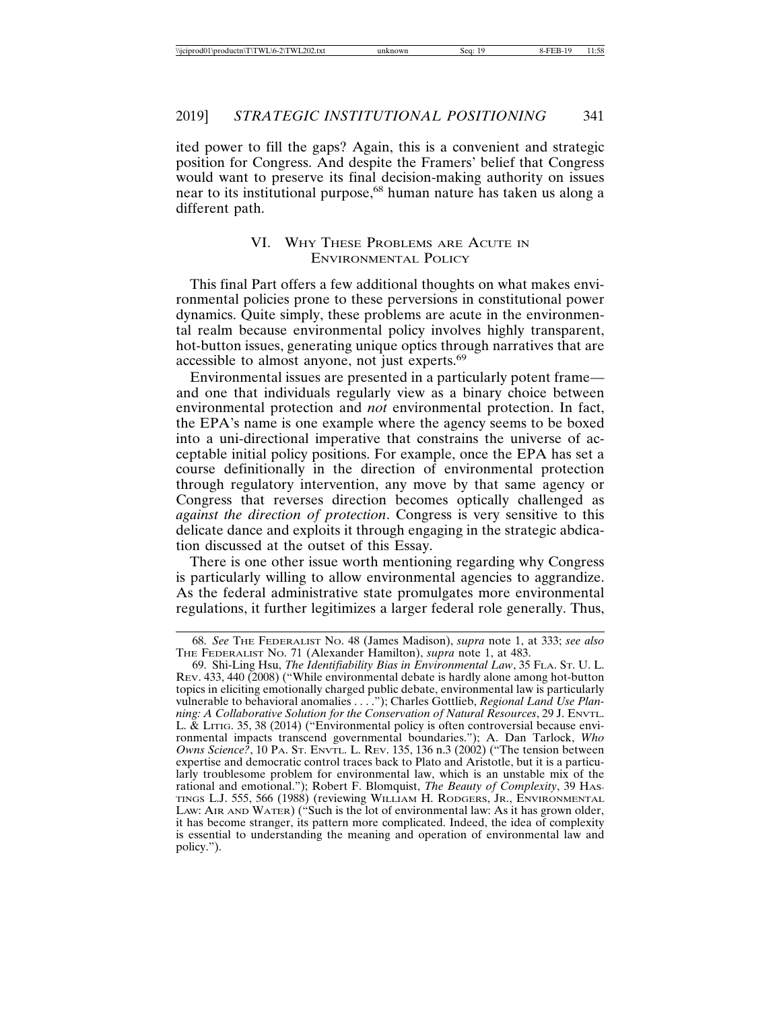ited power to fill the gaps? Again, this is a convenient and strategic position for Congress. And despite the Framers' belief that Congress would want to preserve its final decision-making authority on issues near to its institutional purpose,<sup>68</sup> human nature has taken us along a different path.

#### VI. WHY THESE PROBLEMS ARE ACUTE IN ENVIRONMENTAL POLICY

This final Part offers a few additional thoughts on what makes environmental policies prone to these perversions in constitutional power dynamics. Quite simply, these problems are acute in the environmental realm because environmental policy involves highly transparent, hot-button issues, generating unique optics through narratives that are accessible to almost anyone, not just experts.<sup>69</sup>

Environmental issues are presented in a particularly potent frame and one that individuals regularly view as a binary choice between environmental protection and *not* environmental protection. In fact, the EPA's name is one example where the agency seems to be boxed into a uni-directional imperative that constrains the universe of acceptable initial policy positions. For example, once the EPA has set a course definitionally in the direction of environmental protection through regulatory intervention, any move by that same agency or Congress that reverses direction becomes optically challenged as *against the direction of protection*. Congress is very sensitive to this delicate dance and exploits it through engaging in the strategic abdication discussed at the outset of this Essay.

There is one other issue worth mentioning regarding why Congress is particularly willing to allow environmental agencies to aggrandize. As the federal administrative state promulgates more environmental regulations, it further legitimizes a larger federal role generally. Thus,

<sup>68.</sup> *See* THE FEDERALIST NO. 48 (James Madison), *supra* note 1, at 333; *see also* THE FEDERALIST NO. 71 (Alexander Hamilton), *supra* note 1, at 483.

<sup>69.</sup> Shi-Ling Hsu, *The Identifiability Bias in Environmental Law*, 35 FLA. ST. U. L. REV. 433, 440 (2008) ("While environmental debate is hardly alone among hot-button topics in eliciting emotionally charged public debate, environmental law is particularly vulnerable to behavioral anomalies . . . ."); Charles Gottlieb, *Regional Land Use Planning: A Collaborative Solution for the Conservation of Natural Resources*, 29 J. ENVTL. L. & LITIG. 35, 38 (2014) ("Environmental policy is often controversial because environmental impacts transcend governmental boundaries."); A. Dan Tarlock, *Who Owns Science?*, 10 PA. ST. ENVTL. L. REV. 135, 136 n.3 (2002) ("The tension between expertise and democratic control traces back to Plato and Aristotle, but it is a particularly troublesome problem for environmental law, which is an unstable mix of the rational and emotional."); Robert F. Blomquist, *The Beauty of Complexity*, 39 HAS-TINGS L.J. 555, 566 (1988) (reviewing WILLIAM H. RODGERS, JR., ENVIRONMENTAL LAW: AIR AND WATER) ("Such is the lot of environmental law: As it has grown older, it has become stranger, its pattern more complicated. Indeed, the idea of complexity is essential to understanding the meaning and operation of environmental law and policy.").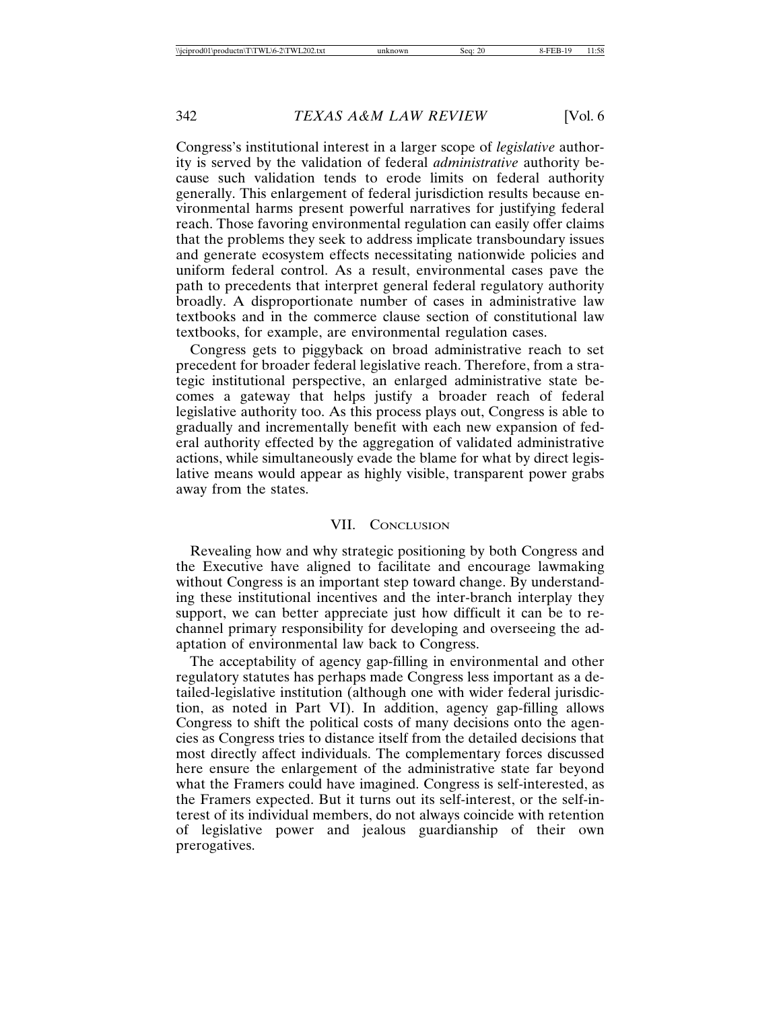Congress's institutional interest in a larger scope of *legislative* authority is served by the validation of federal *administrative* authority because such validation tends to erode limits on federal authority generally. This enlargement of federal jurisdiction results because environmental harms present powerful narratives for justifying federal reach. Those favoring environmental regulation can easily offer claims that the problems they seek to address implicate transboundary issues and generate ecosystem effects necessitating nationwide policies and uniform federal control. As a result, environmental cases pave the path to precedents that interpret general federal regulatory authority broadly. A disproportionate number of cases in administrative law textbooks and in the commerce clause section of constitutional law textbooks, for example, are environmental regulation cases.

Congress gets to piggyback on broad administrative reach to set precedent for broader federal legislative reach. Therefore, from a strategic institutional perspective, an enlarged administrative state becomes a gateway that helps justify a broader reach of federal legislative authority too. As this process plays out, Congress is able to gradually and incrementally benefit with each new expansion of federal authority effected by the aggregation of validated administrative actions, while simultaneously evade the blame for what by direct legislative means would appear as highly visible, transparent power grabs away from the states.

#### VII. CONCLUSION

Revealing how and why strategic positioning by both Congress and the Executive have aligned to facilitate and encourage lawmaking without Congress is an important step toward change. By understanding these institutional incentives and the inter-branch interplay they support, we can better appreciate just how difficult it can be to rechannel primary responsibility for developing and overseeing the adaptation of environmental law back to Congress.

The acceptability of agency gap-filling in environmental and other regulatory statutes has perhaps made Congress less important as a detailed-legislative institution (although one with wider federal jurisdiction, as noted in Part VI). In addition, agency gap-filling allows Congress to shift the political costs of many decisions onto the agencies as Congress tries to distance itself from the detailed decisions that most directly affect individuals. The complementary forces discussed here ensure the enlargement of the administrative state far beyond what the Framers could have imagined. Congress is self-interested, as the Framers expected. But it turns out its self-interest, or the self-interest of its individual members, do not always coincide with retention of legislative power and jealous guardianship of their own prerogatives.